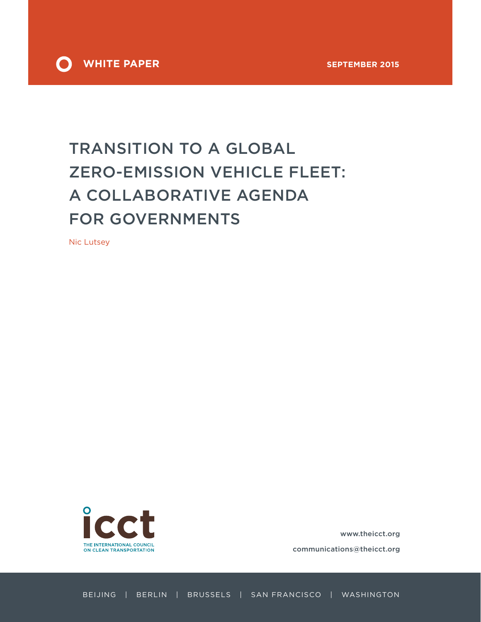

# TRANSITION TO A GLOBAL ZERO-EMISSION VEHICLE FLEET: A COLLABORATIVE AGENDA FOR GOVERNMENTS

Nic Lutsey



www.theicct.org

communications@theicct.org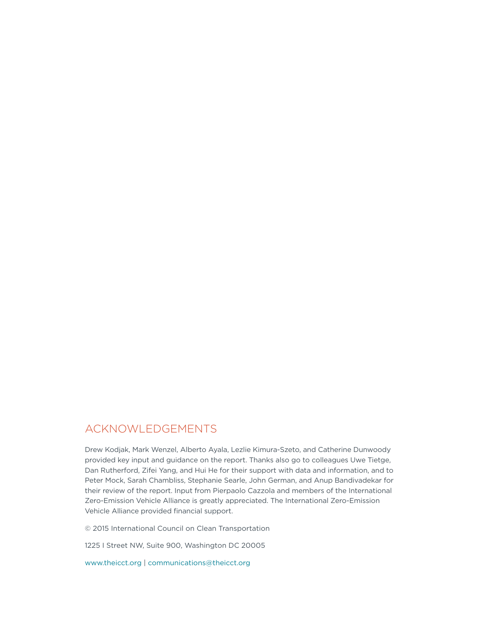# Acknowledgements

Drew Kodjak, Mark Wenzel, Alberto Ayala, Lezlie Kimura-Szeto, and Catherine Dunwoody provided key input and guidance on the report. Thanks also go to colleagues Uwe Tietge, Dan Rutherford, Zifei Yang, and Hui He for their support with data and information, and to Peter Mock, Sarah Chambliss, Stephanie Searle, John German, and Anup Bandivadekar for their review of the report. Input from Pierpaolo Cazzola and members of the International Zero-Emission Vehicle Alliance is greatly appreciated. The International Zero-Emission Vehicle Alliance provided financial support.

© 2015 International Council on Clean Transportation

1225 I Street NW, Suite 900, Washington DC 20005

<www.theicct.org> | [communications@theicct.org](mailto:communications%40theicct.org?subject=)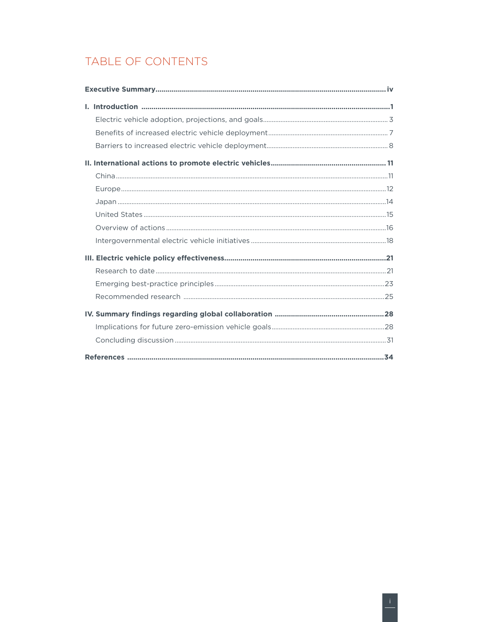# TABLE OF CONTENTS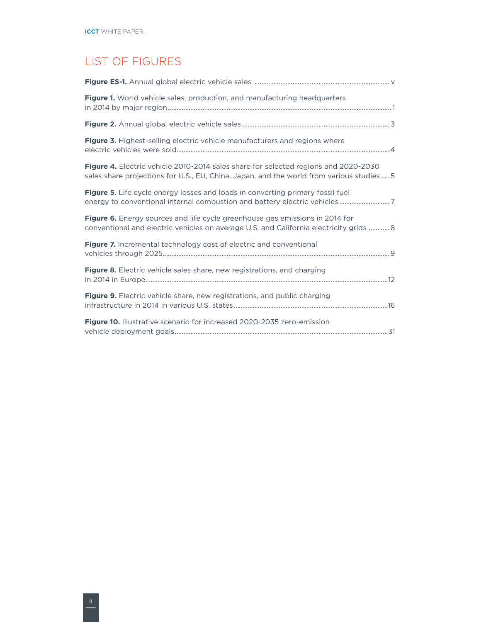# List of Figures

| Figure 1. World vehicle sales, production, and manufacturing headquarters                                                                                                       |
|---------------------------------------------------------------------------------------------------------------------------------------------------------------------------------|
|                                                                                                                                                                                 |
| Figure 3. Highest-selling electric vehicle manufacturers and regions where                                                                                                      |
| Figure 4. Electric vehicle 2010-2014 sales share for selected regions and 2020-2030<br>sales share projections for U.S., EU, China, Japan, and the world from various studies 5 |
| <b>Figure 5.</b> Life cycle energy losses and loads in converting primary fossil fuel<br>energy to conventional internal combustion and battery electric vehicles7              |
| Figure 6. Energy sources and life cycle greenhouse gas emissions in 2014 for<br>conventional and electric vehicles on average U.S. and California electricity grids  8          |
| Figure 7. Incremental technology cost of electric and conventional                                                                                                              |
| Figure 8. Electric vehicle sales share, new registrations, and charging                                                                                                         |
| <b>Figure 9.</b> Electric vehicle share, new registrations, and public charging                                                                                                 |
| Figure 10. Illustrative scenario for increased 2020-2035 zero-emission                                                                                                          |
|                                                                                                                                                                                 |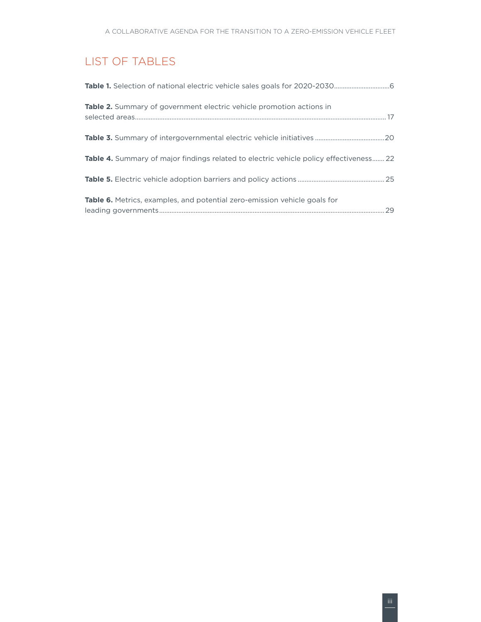# List of Tables

| <b>Table 2.</b> Summary of government electric vehicle promotion actions in                   |
|-----------------------------------------------------------------------------------------------|
|                                                                                               |
| <b>Table 4.</b> Summary of major findings related to electric vehicle policy effectiveness 22 |
|                                                                                               |
| Table 6. Metrics, examples, and potential zero-emission vehicle goals for                     |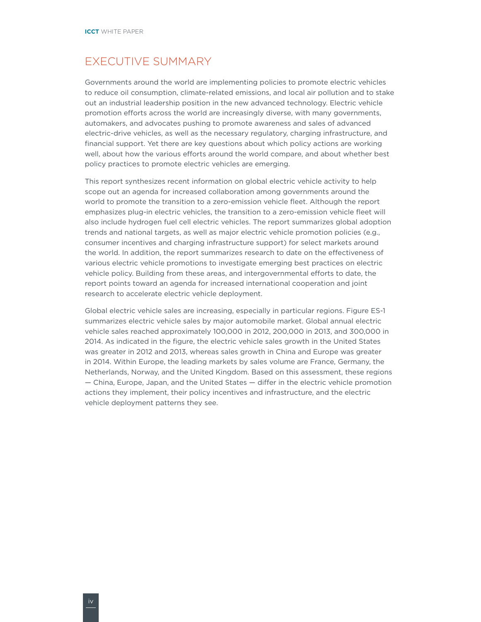# <span id="page-5-0"></span>Executive Summary

Governments around the world are implementing policies to promote electric vehicles to reduce oil consumption, climate-related emissions, and local air pollution and to stake out an industrial leadership position in the new advanced technology. Electric vehicle promotion efforts across the world are increasingly diverse, with many governments, automakers, and advocates pushing to promote awareness and sales of advanced electric-drive vehicles, as well as the necessary regulatory, charging infrastructure, and financial support. Yet there are key questions about which policy actions are working well, about how the various efforts around the world compare, and about whether best policy practices to promote electric vehicles are emerging.

This report synthesizes recent information on global electric vehicle activity to help scope out an agenda for increased collaboration among governments around the world to promote the transition to a zero-emission vehicle fleet. Although the report emphasizes plug-in electric vehicles, the transition to a zero-emission vehicle fleet will also include hydrogen fuel cell electric vehicles. The report summarizes global adoption trends and national targets, as well as major electric vehicle promotion policies (e.g., consumer incentives and charging infrastructure support) for select markets around the world. In addition, the report summarizes research to date on the effectiveness of various electric vehicle promotions to investigate emerging best practices on electric vehicle policy. Building from these areas, and intergovernmental efforts to date, the report points toward an agenda for increased international cooperation and joint research to accelerate electric vehicle deployment.

Global electric vehicle sales are increasing, especially in particular regions. Figure ES-1 summarizes electric vehicle sales by major automobile market. Global annual electric vehicle sales reached approximately 100,000 in 2012, 200,000 in 2013, and 300,000 in 2014. As indicated in the figure, the electric vehicle sales growth in the United States was greater in 2012 and 2013, whereas sales growth in China and Europe was greater in 2014. Within Europe, the leading markets by sales volume are France, Germany, the Netherlands, Norway, and the United Kingdom. Based on this assessment, these regions — China, Europe, Japan, and the United States — differ in the electric vehicle promotion actions they implement, their policy incentives and infrastructure, and the electric vehicle deployment patterns they see.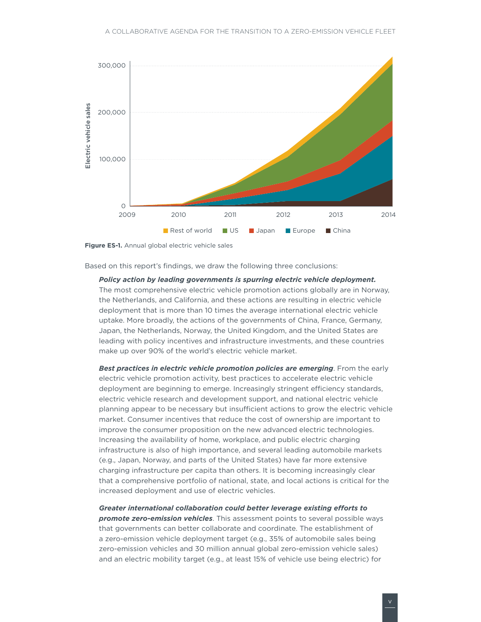<span id="page-6-0"></span>

**Figure ES-1.** Annual global electric vehicle sales

Based on this report's findings, we draw the following three conclusions:

*Policy action by leading governments is spurring electric vehicle deployment.*

The most comprehensive electric vehicle promotion actions globally are in Norway, the Netherlands, and California, and these actions are resulting in electric vehicle deployment that is more than 10 times the average international electric vehicle uptake. More broadly, the actions of the governments of China, France, Germany, Japan, the Netherlands, Norway, the United Kingdom, and the United States are leading with policy incentives and infrastructure investments, and these countries make up over 90% of the world's electric vehicle market.

*Best practices in electric vehicle promotion policies are emerging*. From the early electric vehicle promotion activity, best practices to accelerate electric vehicle deployment are beginning to emerge. Increasingly stringent efficiency standards, electric vehicle research and development support, and national electric vehicle planning appear to be necessary but insufficient actions to grow the electric vehicle market. Consumer incentives that reduce the cost of ownership are important to improve the consumer proposition on the new advanced electric technologies. Increasing the availability of home, workplace, and public electric charging infrastructure is also of high importance, and several leading automobile markets (e.g., Japan, Norway, and parts of the United States) have far more extensive charging infrastructure per capita than others. It is becoming increasingly clear that a comprehensive portfolio of national, state, and local actions is critical for the increased deployment and use of electric vehicles.

*Greater international collaboration could better leverage existing efforts to promote zero-emission vehicles*. This assessment points to several possible ways that governments can better collaborate and coordinate. The establishment of a zero-emission vehicle deployment target (e.g., 35% of automobile sales being zero-emission vehicles and 30 million annual global zero-emission vehicle sales) and an electric mobility target (e.g., at least 15% of vehicle use being electric) for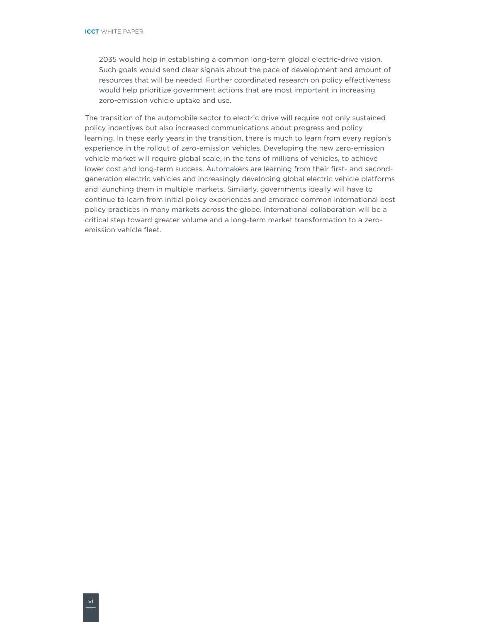2035 would help in establishing a common long-term global electric-drive vision. Such goals would send clear signals about the pace of development and amount of resources that will be needed. Further coordinated research on policy effectiveness would help prioritize government actions that are most important in increasing zero-emission vehicle uptake and use.

The transition of the automobile sector to electric drive will require not only sustained policy incentives but also increased communications about progress and policy learning. In these early years in the transition, there is much to learn from every region's experience in the rollout of zero-emission vehicles. Developing the new zero-emission vehicle market will require global scale, in the tens of millions of vehicles, to achieve lower cost and long-term success. Automakers are learning from their first- and secondgeneration electric vehicles and increasingly developing global electric vehicle platforms and launching them in multiple markets. Similarly, governments ideally will have to continue to learn from initial policy experiences and embrace common international best policy practices in many markets across the globe. International collaboration will be a critical step toward greater volume and a long-term market transformation to a zeroemission vehicle fleet.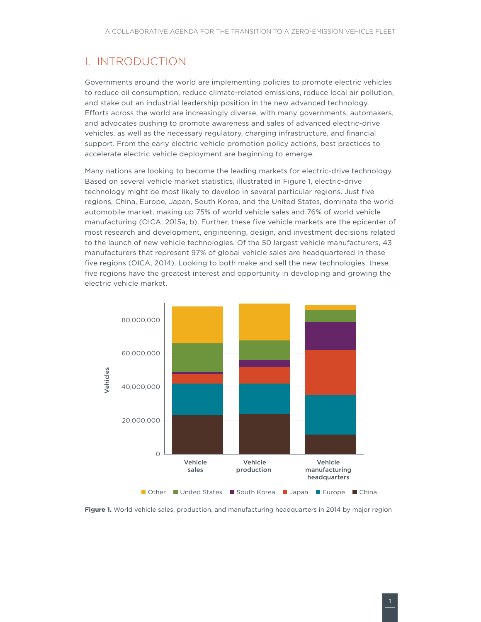# <span id="page-8-0"></span>I. Introduction

Governments around the world are implementing policies to promote electric vehicles to reduce oil consumption, reduce climate-related emissions, reduce local air pollution, and stake out an industrial leadership position in the new advanced technology. Efforts across the world are increasingly diverse, with many governments, automakers, and advocates pushing to promote awareness and sales of advanced electric-drive vehicles, as well as the necessary regulatory, charging infrastructure, and financial support. From the early electric vehicle promotion policy actions, best practices to accelerate electric vehicle deployment are beginning to emerge.

Many nations are looking to become the leading markets for electric-drive technology. Based on several vehicle market statistics, illustrated in [Figure](#page-8-1) 1, electric-drive technology might be most likely to develop in several particular regions. Just five regions, China, Europe, Japan, South Korea, and the United States, dominate the world automobile market, making up 75% of world vehicle sales and 76% of world vehicle manufacturing (OICA, 2015a, b). Further, these five vehicle markets are the epicenter of most research and development, engineering, design, and investment decisions related to the launch of new vehicle technologies. Of the 50 largest vehicle manufacturers, 43 manufacturers that represent 97% of global vehicle sales are headquartered in these five regions (OICA, 2014). Looking to both make and sell the new technologies, these five regions have the greatest interest and opportunity in developing and growing the electric vehicle market.



<span id="page-8-1"></span>**Figure 1.** World vehicle sales, production, and manufacturing headquarters in 2014 by major region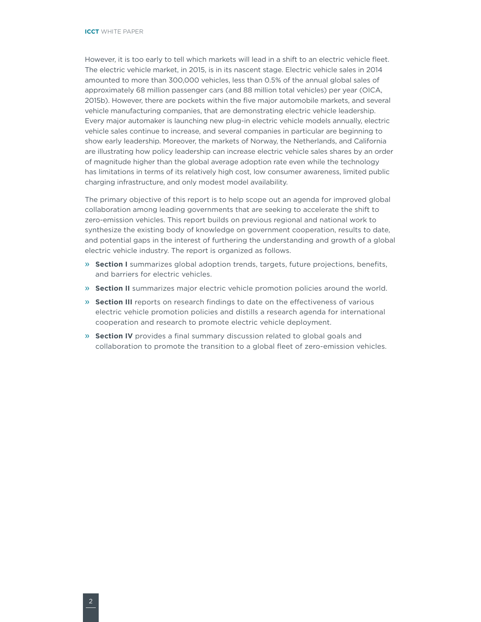However, it is too early to tell which markets will lead in a shift to an electric vehicle fleet. The electric vehicle market, in 2015, is in its nascent stage. Electric vehicle sales in 2014 amounted to more than 300,000 vehicles, less than 0.5% of the annual global sales of approximately 68 million passenger cars (and 88 million total vehicles) per year (OICA, 2015b). However, there are pockets within the five major automobile markets, and several vehicle manufacturing companies, that are demonstrating electric vehicle leadership. Every major automaker is launching new plug-in electric vehicle models annually, electric vehicle sales continue to increase, and several companies in particular are beginning to show early leadership. Moreover, the markets of Norway, the Netherlands, and California are illustrating how policy leadership can increase electric vehicle sales shares by an order of magnitude higher than the global average adoption rate even while the technology has limitations in terms of its relatively high cost, low consumer awareness, limited public charging infrastructure, and only modest model availability.

The primary objective of this report is to help scope out an agenda for improved global collaboration among leading governments that are seeking to accelerate the shift to zero-emission vehicles. This report builds on previous regional and national work to synthesize the existing body of knowledge on government cooperation, results to date, and potential gaps in the interest of furthering the understanding and growth of a global electric vehicle industry. The report is organized as follows.

- » **Section I** summarizes global adoption trends, targets, future projections, benefits, and barriers for electric vehicles.
- » **Section II** summarizes major electric vehicle promotion policies around the world.
- » **Section III** reports on research findings to date on the effectiveness of various electric vehicle promotion policies and distills a research agenda for international cooperation and research to promote electric vehicle deployment.
- » **Section IV** provides a final summary discussion related to global goals and collaboration to promote the transition to a global fleet of zero-emission vehicles.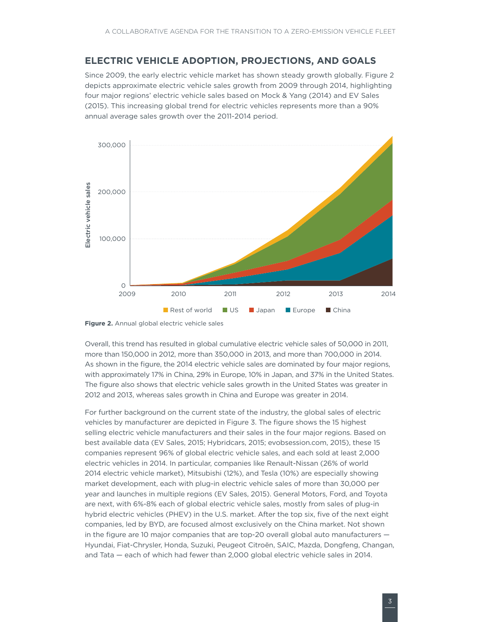## <span id="page-10-0"></span>**Electric vehicle adoption, projections, and goals**

Since 2009, the early electric vehicle market has shown steady growth globally. Figure 2 depicts approximate electric vehicle sales growth from 2009 through 2014, highlighting four major regions' electric vehicle sales based on Mock & Yang (2014) and EV Sales (2015). This increasing global trend for electric vehicles represents more than a 90% annual average sales growth over the 2011-2014 period.



**Figure 2.** Annual global electric vehicle sales

Overall, this trend has resulted in global cumulative electric vehicle sales of 50,000 in 2011, more than 150,000 in 2012, more than 350,000 in 2013, and more than 700,000 in 2014. As shown in the figure, the 2014 electric vehicle sales are dominated by four major regions, with approximately 17% in China, 29% in Europe, 10% in Japan, and 37% in the United States. The figure also shows that electric vehicle sales growth in the United States was greater in 2012 and 2013, whereas sales growth in China and Europe was greater in 2014.

For further background on the current state of the industry, the global sales of electric vehicles by manufacturer are depicted in Figure 3. The figure shows the 15 highest selling electric vehicle manufacturers and their sales in the four major regions. Based on best available data (EV Sales, 2015; Hybridcars, 2015; evobsession.com, 2015), these 15 companies represent 96% of global electric vehicle sales, and each sold at least 2,000 electric vehicles in 2014. In particular, companies like Renault-Nissan (26% of world 2014 electric vehicle market), Mitsubishi (12%), and Tesla (10%) are especially showing market development, each with plug-in electric vehicle sales of more than 30,000 per year and launches in multiple regions (EV Sales, 2015). General Motors, Ford, and Toyota are next, with 6%-8% each of global electric vehicle sales, mostly from sales of plug-in hybrid electric vehicles (PHEV) in the U.S. market. After the top six, five of the next eight companies, led by BYD, are focused almost exclusively on the China market. Not shown in the figure are 10 major companies that are top-20 overall global auto manufacturers — Hyundai, Fiat-Chrysler, Honda, Suzuki, Peugeot Citroën, SAIC, Mazda, Dongfeng, Changan, and Tata — each of which had fewer than 2,000 global electric vehicle sales in 2014.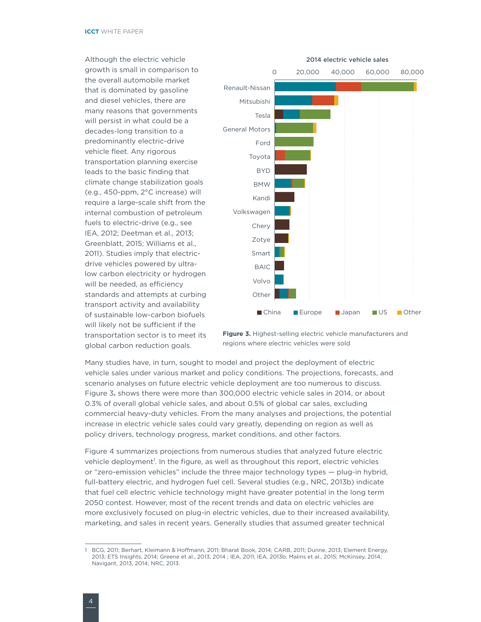<span id="page-11-0"></span>Although the electric vehicle growth is small in comparison to the overall automobile market that is dominated by gasoline and diesel vehicles, there are many reasons that governments will persist in what could be a decades-long transition to a predominantly electric-drive vehicle fleet. Any rigorous transportation planning exercise leads to the basic finding that climate change stabilization goals (e.g., 450-ppm, 2°C increase) will require a large-scale shift from the internal combustion of petroleum fuels to electric-drive (e.g., see IEA, 2012; Deetman et al., 2013; Greenblatt, 2015; Williams et al., 2011). Studies imply that electricdrive vehicles powered by ultralow carbon electricity or hydrogen will be needed, as efficiency standards and attempts at curbing transport activity and availability of sustainable low-carbon biofuels will likely not be sufficient if the transportation sector is to meet its global carbon reduction goals.





Many studies have, in turn, sought to model and project the deployment of electric vehicle sales under various market and policy conditions. The projections, forecasts, and scenario analyses on future electric vehicle deployment are too numerous to discuss. Figure 3**.** shows there were more than 300,000 electric vehicle sales in 2014, or about 0.3% of overall global vehicle sales, and about 0.5% of global car sales, excluding commercial heavy-duty vehicles. From the many analyses and projections, the potential increase in electric vehicle sales could vary greatly, depending on region as well as policy drivers, technology progress, market conditions, and other factors.

[Figure](#page-12-1) 4 summarizes projections from numerous studies that analyzed future electric vehicle deployment*<sup>1</sup>* . In the figure, as well as throughout this report, electric vehicles or "zero-emission vehicles" include the three major technology types — plug-in hybrid, full-battery electric, and hydrogen fuel cell. Several studies (e.g., NRC, 2013b) indicate that fuel cell electric vehicle technology might have greater potential in the long term 2050 contest. However, most of the recent trends and data on electric vehicles are more exclusively focused on plug-in electric vehicles, due to their increased availability, marketing, and sales in recent years. Generally studies that assumed greater technical

<sup>1</sup> BCG, 2011; Berhart, Kleimann & Hoffmann, 2011; Bharat Book, 2014; CARB, 2011; Dunne, 2013; Element Energy, 2013; ETS Insights, 2014; Greene et al., 2013, 2014 ; IEA, 2011; IEA, 2013b; Malins et al., 2015; McKinsey, 2014; Navigant, 2013, 2014; NRC, 2013.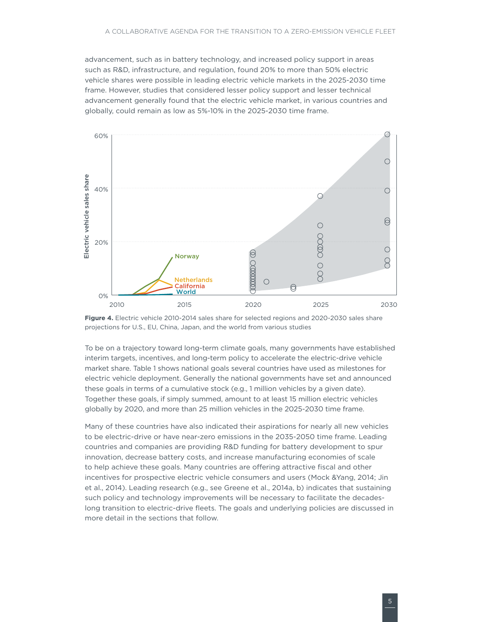<span id="page-12-0"></span>advancement, such as in battery technology, and increased policy support in areas such as R&D, infrastructure, and regulation, found 20% to more than 50% electric vehicle shares were possible in leading electric vehicle markets in the 2025-2030 time frame. However, studies that considered lesser policy support and lesser technical advancement generally found that the electric vehicle market, in various countries and globally, could remain as low as 5%-10% in the 2025-2030 time frame.



<span id="page-12-1"></span>

To be on a trajectory toward long-term climate goals, many governments have established interim targets, incentives, and long-term policy to accelerate the electric-drive vehicle market share. Table 1 shows national goals several countries have used as milestones for electric vehicle deployment. Generally the national governments have set and announced these goals in terms of a cumulative stock (e.g., 1 million vehicles by a given date). Together these goals, if simply summed, amount to at least 15 million electric vehicles globally by 2020, and more than 25 million vehicles in the 2025-2030 time frame.

Many of these countries have also indicated their aspirations for nearly all new vehicles to be electric-drive or have near-zero emissions in the 2035-2050 time frame. Leading countries and companies are providing R&D funding for battery development to spur innovation, decrease battery costs, and increase manufacturing economies of scale to help achieve these goals. Many countries are offering attractive fiscal and other incentives for prospective electric vehicle consumers and users (Mock &Yang, 2014; Jin et al., 2014). Leading research (e.g., see Greene et al., 2014a, b) indicates that sustaining such policy and technology improvements will be necessary to facilitate the decadeslong transition to electric-drive fleets. The goals and underlying policies are discussed in more detail in the sections that follow.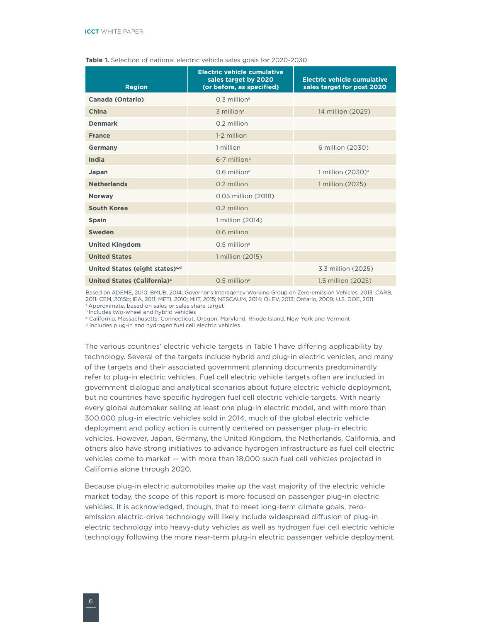| <b>Region</b>                               | <b>Electric vehicle cumulative</b><br>sales target by 2020<br>(or before, as specified) | <b>Electric vehicle cumulative</b><br>sales target for post 2020 |
|---------------------------------------------|-----------------------------------------------------------------------------------------|------------------------------------------------------------------|
| <b>Canada (Ontario)</b>                     | $0.3$ million <sup>a</sup>                                                              |                                                                  |
| China                                       | 3 million <sup>a</sup>                                                                  | 14 million (2025)                                                |
| <b>Denmark</b>                              | 0.2 million                                                                             |                                                                  |
| <b>France</b>                               | 1-2 million                                                                             |                                                                  |
| <b>Germany</b>                              | 1 million                                                                               | 6 million (2030)                                                 |
| India                                       | $6-7$ million <sup>b</sup>                                                              |                                                                  |
| Japan                                       | $0.6$ million <sup>a</sup>                                                              | 1 million $(2030)$ <sup>a</sup>                                  |
| <b>Netherlands</b>                          | 0.2 million                                                                             | 1 million (2025)                                                 |
| <b>Norway</b>                               | 0.05 million (2018)                                                                     |                                                                  |
| South Korea                                 | 0.2 million                                                                             |                                                                  |
| <b>Spain</b>                                | 1 million (2014)                                                                        |                                                                  |
| <b>Sweden</b>                               | 0.6 million                                                                             |                                                                  |
| <b>United Kingdom</b>                       | $0.5$ million <sup>a</sup>                                                              |                                                                  |
| <b>United States</b>                        | 1 million (2015)                                                                        |                                                                  |
| United States (eight states) <sup>c,d</sup> |                                                                                         | 3.3 million (2025)                                               |
| United States (California) <sup>c</sup>     | $0.5$ million <sup>a</sup>                                                              | 1.5 million (2025)                                               |

#### <span id="page-13-0"></span>**Table 1.** Selection of national electric vehicle sales goals for 2020-2030

Based on ADEME, 2010; BMUB, 2014; Governor's Interagency Working Group on Zero-emission Vehicles, 2013; CARB, 2011; CEM, 2015b; IEA, 2011; METI, 2010; MIIT, 2015; NESCAUM, 2014; OLEV, 2013; Ontario, 2009; U.S. DOE, 2011<br>ª Approximate, based on sales or sales share target

b Includes two-wheel and hybrid vehicles

<sup>c</sup> California, Massachusetts, Connecticut, Oregon, Maryland, Rhode Island, New York and Vermont <sup>d</sup> Includes plug-in and hydrogen fuel cell electric vehicles

The various countries' electric vehicle targets in Table 1 have differing applicability by technology. Several of the targets include hybrid and plug-in electric vehicles, and many of the targets and their associated government planning documents predominantly refer to plug-in electric vehicles. Fuel cell electric vehicle targets often are included in government dialogue and analytical scenarios about future electric vehicle deployment, but no countries have specific hydrogen fuel cell electric vehicle targets. With nearly every global automaker selling at least one plug-in electric model, and with more than 300,000 plug-in electric vehicles sold in 2014, much of the global electric vehicle deployment and policy action is currently centered on passenger plug-in electric vehicles. However, Japan, Germany, the United Kingdom, the Netherlands, California, and others also have strong initiatives to advance hydrogen infrastructure as fuel cell electric vehicles come to market — with more than 18,000 such fuel cell vehicles projected in California alone through 2020.

Because plug-in electric automobiles make up the vast majority of the electric vehicle market today, the scope of this report is more focused on passenger plug-in electric vehicles. It is acknowledged, though, that to meet long-term climate goals, zeroemission electric-drive technology will likely include widespread diffusion of plug-in electric technology into heavy-duty vehicles as well as hydrogen fuel cell electric vehicle technology following the more near-term plug-in electric passenger vehicle deployment.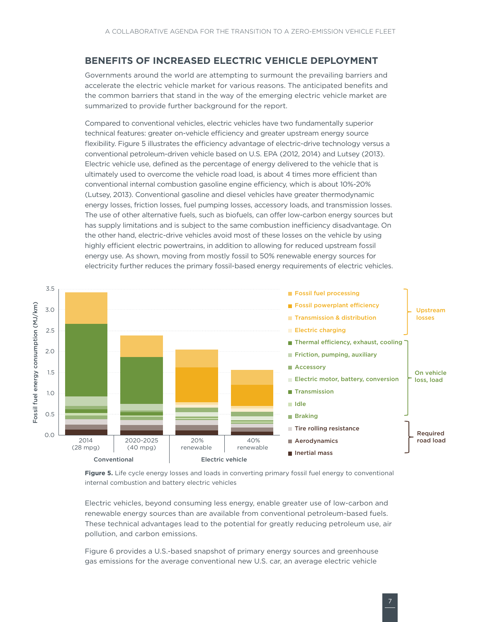# <span id="page-14-0"></span>**Benefits of increased electric vehicle deployment**

Governments around the world are attempting to surmount the prevailing barriers and accelerate the electric vehicle market for various reasons. The anticipated benefits and the common barriers that stand in the way of the emerging electric vehicle market are summarized to provide further background for the report.

Compared to conventional vehicles, electric vehicles have two fundamentally superior technical features: greater on-vehicle efficiency and greater upstream energy source flexibility. [Figure](#page-14-1) 5 illustrates the efficiency advantage of electric-drive technology versus a conventional petroleum-driven vehicle based on U.S. EPA (2012, 2014) and Lutsey (2013). Electric vehicle use, defined as the percentage of energy delivered to the vehicle that is ultimately used to overcome the vehicle road load, is about 4 times more efficient than conventional internal combustion gasoline engine efficiency, which is about 10%-20% (Lutsey, 2013). Conventional gasoline and diesel vehicles have greater thermodynamic energy losses, friction losses, fuel pumping losses, accessory loads, and transmission losses. The use of other alternative fuels, such as biofuels, can offer low-carbon energy sources but has supply limitations and is subject to the same combustion inefficiency disadvantage. On the other hand, electric-drive vehicles avoid most of these losses on the vehicle by using highly efficient electric powertrains, in addition to allowing for reduced upstream fossil energy use. As shown, moving from mostly fossil to 50% renewable energy sources for electricity further reduces the primary fossil-based energy requirements of electric vehicles.



<span id="page-14-1"></span>**Figure 5.** Life cycle energy losses and loads in converting primary fossil fuel energy to conventional internal combustion and battery electric vehicles

Electric vehicles, beyond consuming less energy, enable greater use of low-carbon and renewable energy sources than are available from conventional petroleum-based fuels. These technical advantages lead to the potential for greatly reducing petroleum use, air pollution, and carbon emissions.

Figure 6 provides a U.S.-based snapshot of primary energy sources and greenhouse gas emissions for the average conventional new U.S. car, an average electric vehicle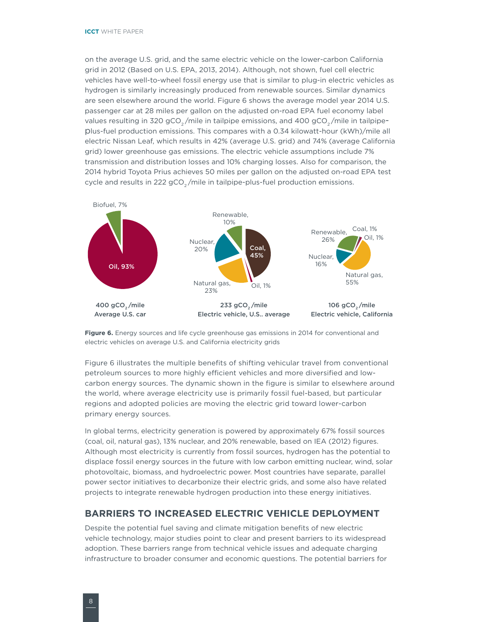<span id="page-15-0"></span>on the average U.S. grid, and the same electric vehicle on the lower-carbon California grid in 2012 (Based on U.S. EPA, 2013, 2014). Although, not shown, fuel cell electric vehicles have well-to-wheel fossil energy use that is similar to plug-in electric vehicles as hydrogen is similarly increasingly produced from renewable sources. Similar dynamics are seen elsewhere around the world. Figure 6 shows the average model year 2014 U.S. passenger car at 28 miles per gallon on the adjusted on-road EPA fuel economy label values resulting in 320 gCO<sub>2</sub>/mile in tailpipe emissions, and 400 gCO<sub>2</sub>/mile in tailpipeplus-fuel production emissions. This compares with a 0.34 kilowatt-hour (kWh)/mile all electric Nissan Leaf, which results in 42% (average U.S. grid) and 74% (average California grid) lower greenhouse gas emissions. The electric vehicle assumptions include 7% transmission and distribution losses and 10% charging losses. Also for comparison, the 2014 hybrid Toyota Prius achieves 50 miles per gallon on the adjusted on-road EPA test cycle and results in 222  $gCO<sub>2</sub>/mile$  in tailpipe-plus-fuel production emissions.



<span id="page-15-1"></span>**Figure 6.** Energy sources and life cycle greenhouse gas emissions in 2014 for conventional and electric vehicles on average U.S. and California electricity grids

[Figure 6](#page-15-1) illustrates the multiple benefits of shifting vehicular travel from conventional petroleum sources to more highly efficient vehicles and more diversified and lowcarbon energy sources. The dynamic shown in the figure is similar to elsewhere around the world, where average electricity use is primarily fossil fuel-based, but particular regions and adopted policies are moving the electric grid toward lower-carbon primary energy sources.

In global terms, electricity generation is powered by approximately 67% fossil sources (coal, oil, natural gas), 13% nuclear, and 20% renewable, based on IEA (2012) figures. Although most electricity is currently from fossil sources, hydrogen has the potential to displace fossil energy sources in the future with low carbon emitting nuclear, wind, solar photovoltaic, biomass, and hydroelectric power. Most countries have separate, parallel power sector initiatives to decarbonize their electric grids, and some also have related projects to integrate renewable hydrogen production into these energy initiatives.

### **Barriers to increased electric vehicle deployment**

Despite the potential fuel saving and climate mitigation benefits of new electric vehicle technology, major studies point to clear and present barriers to its widespread adoption. These barriers range from technical vehicle issues and adequate charging infrastructure to broader consumer and economic questions. The potential barriers for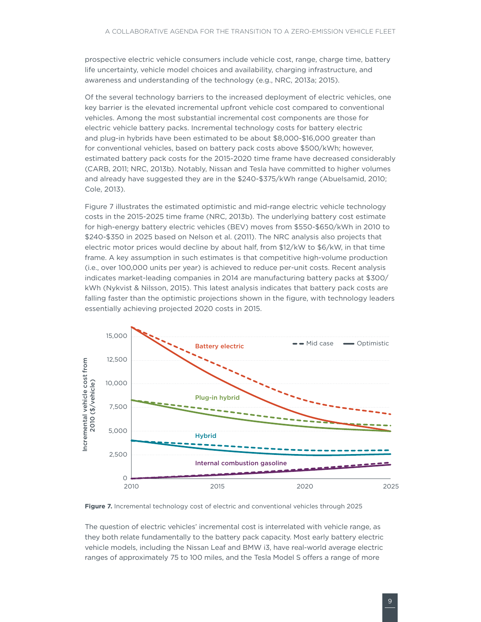<span id="page-16-0"></span>prospective electric vehicle consumers include vehicle cost, range, charge time, battery life uncertainty, vehicle model choices and availability, charging infrastructure, and awareness and understanding of the technology (e.g., NRC, 2013a; 2015).

Of the several technology barriers to the increased deployment of electric vehicles, one key barrier is the elevated incremental upfront vehicle cost compared to conventional vehicles. Among the most substantial incremental cost components are those for electric vehicle battery packs. Incremental technology costs for battery electric and plug-in hybrids have been estimated to be about \$8,000-\$16,000 greater than for conventional vehicles, based on battery pack costs above \$500/kWh; however, estimated battery pack costs for the 2015-2020 time frame have decreased considerably (CARB, 2011; NRC, 2013b). Notably, Nissan and Tesla have committed to higher volumes and already have suggested they are in the \$240-\$375/kWh range (Abuelsamid, 2010; Cole, 2013).

[Figure](#page-16-1) 7 illustrates the estimated optimistic and mid-range electric vehicle technology costs in the 2015-2025 time frame (NRC, 2013b). The underlying battery cost estimate for high-energy battery electric vehicles (BEV) moves from \$550-\$650/kWh in 2010 to \$240-\$350 in 2025 based on Nelson et al. (2011). The NRC analysis also projects that electric motor prices would decline by about half, from \$12/kW to \$6/kW, in that time frame. A key assumption in such estimates is that competitive high-volume production (i.e., over 100,000 units per year) is achieved to reduce per-unit costs. Recent analysis indicates market-leading companies in 2014 are manufacturing battery packs at \$300/ kWh (Nykvist & Nilsson, 2015). This latest analysis indicates that battery pack costs are falling faster than the optimistic projections shown in the figure, with technology leaders essentially achieving projected 2020 costs in 2015.



<span id="page-16-1"></span>**Figure 7.** Incremental technology cost of electric and conventional vehicles through 2025

The question of electric vehicles' incremental cost is interrelated with vehicle range, as they both relate fundamentally to the battery pack capacity. Most early battery electric vehicle models, including the Nissan Leaf and BMW i3, have real-world average electric ranges of approximately 75 to 100 miles, and the Tesla Model S offers a range of more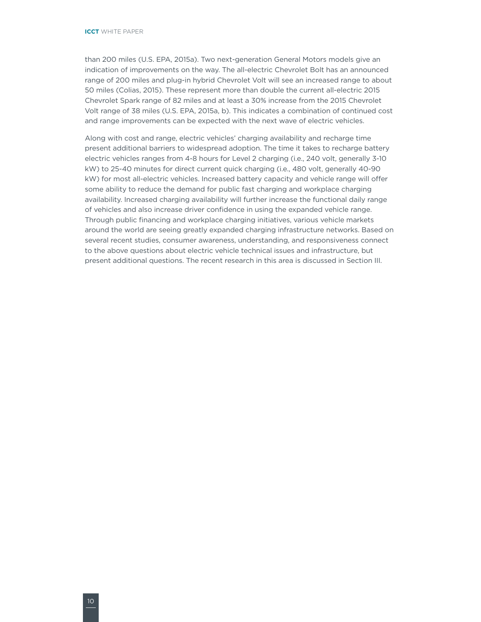than 200 miles (U.S. EPA, 2015a). Two next-generation General Motors models give an indication of improvements on the way. The all-electric Chevrolet Bolt has an announced range of 200 miles and plug-in hybrid Chevrolet Volt will see an increased range to about 50 miles (Colias, 2015). These represent more than double the current all-electric 2015 Chevrolet Spark range of 82 miles and at least a 30% increase from the 2015 Chevrolet Volt range of 38 miles (U.S. EPA, 2015a, b). This indicates a combination of continued cost and range improvements can be expected with the next wave of electric vehicles.

Along with cost and range, electric vehicles' charging availability and recharge time present additional barriers to widespread adoption. The time it takes to recharge battery electric vehicles ranges from 4-8 hours for Level 2 charging (i.e., 240 volt, generally 3-10 kW) to 25-40 minutes for direct current quick charging (i.e., 480 volt, generally 40-90 kW) for most all-electric vehicles. Increased battery capacity and vehicle range will offer some ability to reduce the demand for public fast charging and workplace charging availability. Increased charging availability will further increase the functional daily range of vehicles and also increase driver confidence in using the expanded vehicle range. Through public financing and workplace charging initiatives, various vehicle markets around the world are seeing greatly expanded charging infrastructure networks. Based on several recent studies, consumer awareness, understanding, and responsiveness connect to the above questions about electric vehicle technical issues and infrastructure, but present additional questions. The recent research in this area is discussed in Section III.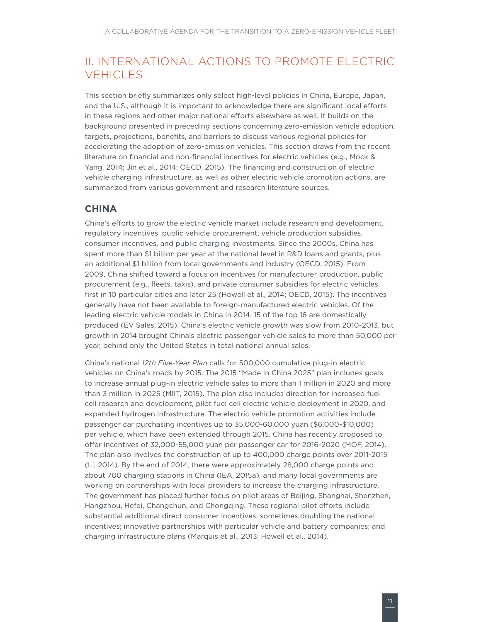# <span id="page-18-0"></span>II. International actions to promote electric **VEHICLES**

This section briefly summarizes only select high-level policies in China, Europe, Japan, and the U.S., although it is important to acknowledge there are significant local efforts in these regions and other major national efforts elsewhere as well. It builds on the background presented in preceding sections concerning zero-emission vehicle adoption, targets, projections, benefits, and barriers to discuss various regional policies for accelerating the adoption of zero-emission vehicles. This section draws from the recent literature on financial and non-financial incentives for electric vehicles (e.g., Mock & Yang, 2014; Jin et al., 2014; OECD, 2015). The financing and construction of electric vehicle charging infrastructure, as well as other electric vehicle promotion actions, are summarized from various government and research literature sources.

## **China**

China's efforts to grow the electric vehicle market include research and development, regulatory incentives, public vehicle procurement, vehicle production subsidies, consumer incentives, and public charging investments. Since the 2000s, China has spent more than \$1 billion per year at the national level in R&D loans and grants, plus an additional \$1 billion from local governments and industry (OECD, 2015). From 2009, China shifted toward a focus on incentives for manufacturer production, public procurement (e.g., fleets, taxis), and private consumer subsidies for electric vehicles, first in 10 particular cities and later 25 (Howell et al., 2014; OECD, 2015). The incentives generally have not been available to foreign-manufactured electric vehicles. Of the leading electric vehicle models in China in 2014, 15 of the top 16 are domestically produced (EV Sales, 2015). China's electric vehicle growth was slow from 2010-2013, but growth in 2014 brought China's electric passenger vehicle sales to more than 50,000 per year, behind only the United States in total national annual sales.

China's national *12th Five-Year Plan* calls for 500,000 cumulative plug-in electric vehicles on China's roads by 2015. The 2015 "Made in China 2025" plan includes goals to increase annual plug-in electric vehicle sales to more than 1 million in 2020 and more than 3 million in 2025 (MIIT, 2015). The plan also includes direction for increased fuel cell research and development, pilot fuel cell electric vehicle deployment in 2020, and expanded hydrogen infrastructure. The electric vehicle promotion activities include passenger car purchasing incentives up to 35,000-60,000 yuan (\$6,000-\$10,000) per vehicle, which have been extended through 2015. China has recently proposed to offer incentives of 32,000-55,000 yuan per passenger car for 2016-2020 (MOF, 2014). The plan also involves the construction of up to 400,000 charge points over 2011-2015 (Li, 2014). By the end of 2014, there were approximately 28,000 charge points and about 700 charging stations in China (IEA, 2015a), and many local governments are working on partnerships with local providers to increase the charging infrastructure. The government has placed further focus on pilot areas of Beijing, Shanghai, Shenzhen, Hangzhou, Hefei, Changchun, and Chongqing. These regional pilot efforts include substantial additional direct consumer incentives, sometimes doubling the national incentives; innovative partnerships with particular vehicle and battery companies; and charging infrastructure plans (Marquis et al., 2013; Howell et al., 2014).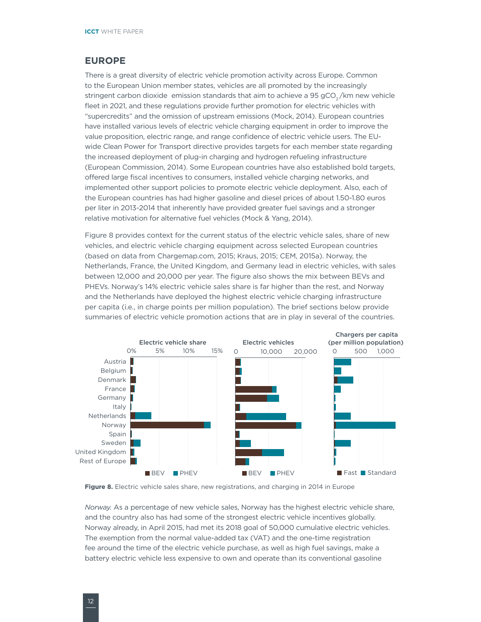#### <span id="page-19-0"></span>**Europe**

There is a great diversity of electric vehicle promotion activity across Europe. Common to the European Union member states, vehicles are all promoted by the increasingly stringent carbon dioxide emission standards that aim to achieve a 95 gCO<sub>2</sub>/km new vehicle fleet in 2021, and these regulations provide further promotion for electric vehicles with "supercredits" and the omission of upstream emissions (Mock, 2014). European countries have installed various levels of electric vehicle charging equipment in order to improve the value proposition, electric range, and range confidence of electric vehicle users. The EUwide Clean Power for Transport directive provides targets for each member state regarding the increased deployment of plug-in charging and hydrogen refueling infrastructure (European Commission, 2014). Some European countries have also established bold targets, offered large fiscal incentives to consumers, installed vehicle charging networks, and implemented other support policies to promote electric vehicle deployment. Also, each of the European countries has had higher gasoline and diesel prices of about 1.50-1.80 euros per liter in 2013-2014 that inherently have provided greater fuel savings and a stronger relative motivation for alternative fuel vehicles (Mock & Yang, 2014).

Figure 8 provides context for the current status of the electric vehicle sales, share of new vehicles, and electric vehicle charging equipment across selected European countries (based on data from Chargemap.com, 2015; Kraus, 2015; CEM, 2015a). Norway, the Netherlands, France, the United Kingdom, and Germany lead in electric vehicles, with sales between 12,000 and 20,000 per year. The figure also shows the mix between BEVs and PHEVs. Norway's 14% electric vehicle sales share is far higher than the rest, and Norway and the Netherlands have deployed the highest electric vehicle charging infrastructure per capita (i.e., in charge points per million population). The brief sections below provide summaries of electric vehicle promotion actions that are in play in several of the countries.



<span id="page-19-1"></span>

*Norway.* As a percentage of new vehicle sales, Norway has the highest electric vehicle share, and the country also has had some of the strongest electric vehicle incentives globally. Norway already, in April 2015, had met its 2018 goal of 50,000 cumulative electric vehicles. The exemption from the normal value-added tax (VAT) and the one-time registration fee around the time of the electric vehicle purchase, as well as high fuel savings, make a battery electric vehicle less expensive to own and operate than its conventional gasoline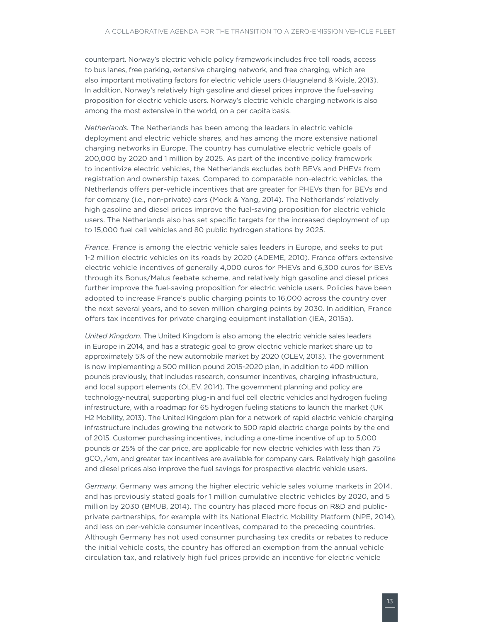counterpart. Norway's electric vehicle policy framework includes free toll roads, access to bus lanes, free parking, extensive charging network, and free charging, which are also important motivating factors for electric vehicle users (Haugneland & Kvisle, 2013). In addition, Norway's relatively high gasoline and diesel prices improve the fuel-saving proposition for electric vehicle users. Norway's electric vehicle charging network is also among the most extensive in the world, on a per capita basis.

*Netherlands.* The Netherlands has been among the leaders in electric vehicle deployment and electric vehicle shares, and has among the more extensive national charging networks in Europe. The country has cumulative electric vehicle goals of 200,000 by 2020 and 1 million by 2025. As part of the incentive policy framework to incentivize electric vehicles, the Netherlands excludes both BEVs and PHEVs from registration and ownership taxes. Compared to comparable non-electric vehicles, the Netherlands offers per-vehicle incentives that are greater for PHEVs than for BEVs and for company (i.e., non-private) cars (Mock & Yang, 2014). The Netherlands' relatively high gasoline and diesel prices improve the fuel-saving proposition for electric vehicle users. The Netherlands also has set specific targets for the increased deployment of up to 15,000 fuel cell vehicles and 80 public hydrogen stations by 2025.

*France.* France is among the electric vehicle sales leaders in Europe, and seeks to put 1-2 million electric vehicles on its roads by 2020 (ADEME, 2010). France offers extensive electric vehicle incentives of generally 4,000 euros for PHEVs and 6,300 euros for BEVs through its Bonus/Malus feebate scheme, and relatively high gasoline and diesel prices further improve the fuel-saving proposition for electric vehicle users. Policies have been adopted to increase France's public charging points to 16,000 across the country over the next several years, and to seven million charging points by 2030. In addition, France offers tax incentives for private charging equipment installation (IEA, 2015a).

*United Kingdom.* The United Kingdom is also among the electric vehicle sales leaders in Europe in 2014, and has a strategic goal to grow electric vehicle market share up to approximately 5% of the new automobile market by 2020 (OLEV, 2013). The government is now implementing a 500 million pound 2015-2020 plan, in addition to 400 million pounds previously, that includes research, consumer incentives, charging infrastructure, and local support elements (OLEV, 2014). The government planning and policy are technology-neutral, supporting plug-in and fuel cell electric vehicles and hydrogen fueling infrastructure, with a roadmap for 65 hydrogen fueling stations to launch the market (UK H2 Mobility, 2013). The United Kingdom plan for a network of rapid electric vehicle charging infrastructure includes growing the network to 500 rapid electric charge points by the end of 2015. Customer purchasing incentives, including a one-time incentive of up to 5,000 pounds or 25% of the car price, are applicable for new electric vehicles with less than 75 gCO<sub>2</sub>/km, and greater tax incentives are available for company cars. Relatively high gasoline and diesel prices also improve the fuel savings for prospective electric vehicle users.

*Germany.* Germany was among the higher electric vehicle sales volume markets in 2014, and has previously stated goals for 1 million cumulative electric vehicles by 2020, and 5 million by 2030 (BMUB, 2014). The country has placed more focus on R&D and publicprivate partnerships, for example with its National Electric Mobility Platform (NPE, 2014), and less on per-vehicle consumer incentives, compared to the preceding countries. Although Germany has not used consumer purchasing tax credits or rebates to reduce the initial vehicle costs, the country has offered an exemption from the annual vehicle circulation tax, and relatively high fuel prices provide an incentive for electric vehicle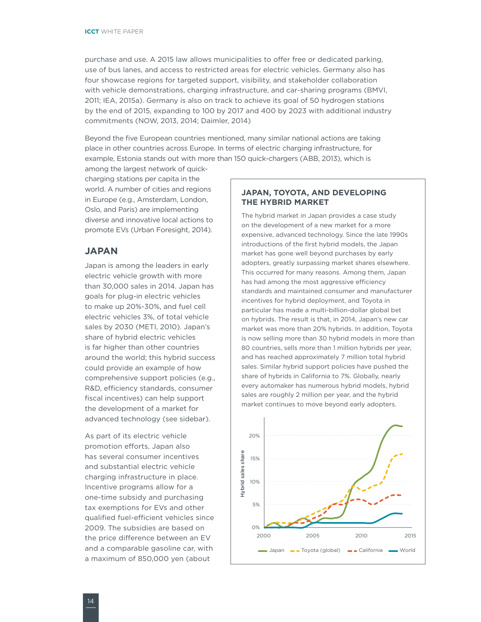<span id="page-21-0"></span>purchase and use. A 2015 law allows municipalities to offer free or dedicated parking, use of bus lanes, and access to restricted areas for electric vehicles. Germany also has four showcase regions for targeted support, visibility, and stakeholder collaboration with vehicle demonstrations, charging infrastructure, and car-sharing programs (BMVI, 2011; IEA, 2015a). Germany is also on track to achieve its goal of 50 hydrogen stations by the end of 2015, expanding to 100 by 2017 and 400 by 2023 with additional industry commitments (NOW, 2013, 2014; Daimler, 2014)

Beyond the five European countries mentioned, many similar national actions are taking place in other countries across Europe. In terms of electric charging infrastructure, for example, Estonia stands out with more than 150 quick-chargers (ABB, 2013), which is

among the largest network of quickcharging stations per capita in the world. A number of cities and regions in Europe (e.g., Amsterdam, London, Oslo, and Paris) are implementing diverse and innovative local actions to promote EVs (Urban Foresight, 2014).

#### **Japan**

Japan is among the leaders in early electric vehicle growth with more than 30,000 sales in 2014. Japan has goals for plug-in electric vehicles to make up 20%-30%, and fuel cell electric vehicles 3%, of total vehicle sales by 2030 (METI, 2010). Japan's share of hybrid electric vehicles is far higher than other countries around the world; this hybrid success could provide an example of how comprehensive support policies (e.g., R&D, efficiency standards, consumer fiscal incentives) can help support the development of a market for advanced technology (see sidebar).

As part of its electric vehicle promotion efforts, Japan also has several consumer incentives and substantial electric vehicle charging infrastructure in place. Incentive programs allow for a one-time subsidy and purchasing tax exemptions for EVs and other qualified fuel-efficient vehicles since 2009. The subsidies are based on the price difference between an EV and a comparable gasoline car, with a maximum of 850,000 yen (about

#### **Japan, Toyota, and developing the hybrid market**

The hybrid market in Japan provides a case study on the development of a new market for a more expensive, advanced technology. Since the late 1990s introductions of the first hybrid models, the Japan market has gone well beyond purchases by early adopters, greatly surpassing market shares elsewhere. This occurred for many reasons. Among them, Japan has had among the most aggressive efficiency standards and maintained consumer and manufacturer incentives for hybrid deployment, and Toyota in particular has made a multi-billion-dollar global bet on hybrids. The result is that, in 2014, Japan's new car market was more than 20% hybrids. In addition, Toyota is now selling more than 30 hybrid models in more than 80 countries, sells more than 1 million hybrids per year, and has reached approximately 7 million total hybrid sales. Similar hybrid support policies have pushed the share of hybrids in California to 7%. Globally, nearly every automaker has numerous hybrid models, hybrid sales are roughly 2 million per year, and the hybrid market continues to move beyond early adopters.

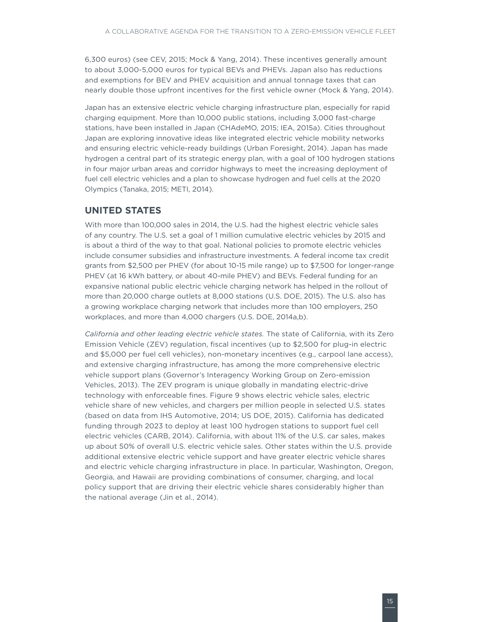<span id="page-22-0"></span>6,300 euros) (see CEV, 2015; Mock & Yang, 2014). These incentives generally amount to about 3,000-5,000 euros for typical BEVs and PHEVs. Japan also has reductions and exemptions for BEV and PHEV acquisition and annual tonnage taxes that can nearly double those upfront incentives for the first vehicle owner (Mock & Yang, 2014).

Japan has an extensive electric vehicle charging infrastructure plan, especially for rapid charging equipment. More than 10,000 public stations, including 3,000 fast-charge stations, have been installed in Japan (CHAdeMO, 2015; IEA, 2015a). Cities throughout Japan are exploring innovative ideas like integrated electric vehicle mobility networks and ensuring electric vehicle-ready buildings (Urban Foresight, 2014). Japan has made hydrogen a central part of its strategic energy plan, with a goal of 100 hydrogen stations in four major urban areas and corridor highways to meet the increasing deployment of fuel cell electric vehicles and a plan to showcase hydrogen and fuel cells at the 2020 Olympics (Tanaka, 2015; METI, 2014).

#### **United States**

With more than 100,000 sales in 2014, the U.S. had the highest electric vehicle sales of any country. The U.S. set a goal of 1 million cumulative electric vehicles by 2015 and is about a third of the way to that goal. National policies to promote electric vehicles include consumer subsidies and infrastructure investments. A federal income tax credit grants from \$2,500 per PHEV (for about 10-15 mile range) up to \$7,500 for longer-range PHEV (at 16 kWh battery, or about 40-mile PHEV) and BEVs. Federal funding for an expansive national public electric vehicle charging network has helped in the rollout of more than 20,000 charge outlets at 8,000 stations (U.S. DOE, 2015). The U.S. also has a growing workplace charging network that includes more than 100 employers, 250 workplaces, and more than 4,000 chargers (U.S. DOE, 2014a,b).

*California and other leading electric vehicle states.* The state of California, with its Zero Emission Vehicle (ZEV) regulation, fiscal incentives (up to \$2,500 for plug-in electric and \$5,000 per fuel cell vehicles), non-monetary incentives (e.g., carpool lane access), and extensive charging infrastructure, has among the more comprehensive electric vehicle support plans (Governor's Interagency Working Group on Zero-emission Vehicles, 2013). The ZEV program is unique globally in mandating electric-drive technology with enforceable fines. Figure 9 shows electric vehicle sales, electric vehicle share of new vehicles, and chargers per million people in selected U.S. states (based on data from IHS Automotive, 2014; US DOE, 2015). California has dedicated funding through 2023 to deploy at least 100 hydrogen stations to support fuel cell electric vehicles (CARB, 2014). California, with about 11% of the U.S. car sales, makes up about 50% of overall U.S. electric vehicle sales. Other states within the U.S. provide additional extensive electric vehicle support and have greater electric vehicle shares and electric vehicle charging infrastructure in place. In particular, Washington, Oregon, Georgia, and Hawaii are providing combinations of consumer, charging, and local policy support that are driving their electric vehicle shares considerably higher than the national average (Jin et al., 2014).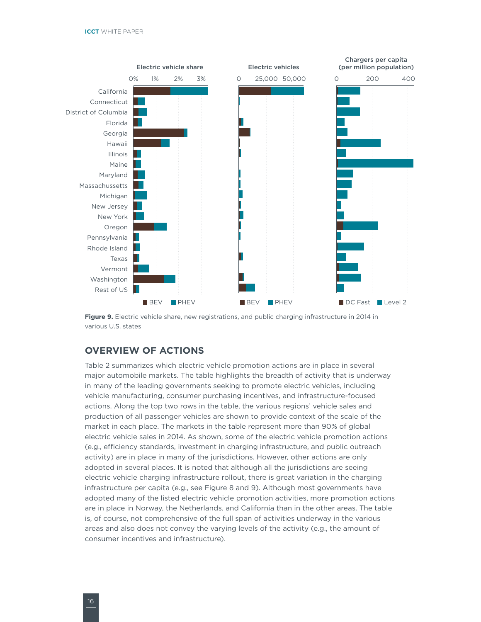<span id="page-23-0"></span>

**Figure 9.** Electric vehicle share, new registrations, and public charging infrastructure in 2014 in various U.S. states

### **Overview of actions**

[Table](#page-24-1) 2 summarizes which electric vehicle promotion actions are in place in several major automobile markets. The table highlights the breadth of activity that is underway in many of the leading governments seeking to promote electric vehicles, including vehicle manufacturing, consumer purchasing incentives, and infrastructure-focused actions. Along the top two rows in the table, the various regions' vehicle sales and production of all passenger vehicles are shown to provide context of the scale of the market in each place. The markets in the table represent more than 90% of global electric vehicle sales in 2014. As shown, some of the electric vehicle promotion actions (e.g., efficiency standards, investment in charging infrastructure, and public outreach activity) are in place in many of the jurisdictions. However, other actions are only adopted in several places. It is noted that although all the jurisdictions are seeing electric vehicle charging infrastructure rollout, there is great variation in the charging infrastructure per capita (e.g., see [Figure 8](#page-19-1) and 9). Although most governments have adopted many of the listed electric vehicle promotion activities, more promotion actions are in place in Norway, the Netherlands, and California than in the other areas. The table is, of course, not comprehensive of the full span of activities underway in the various areas and also does not convey the varying levels of the activity (e.g., the amount of consumer incentives and infrastructure).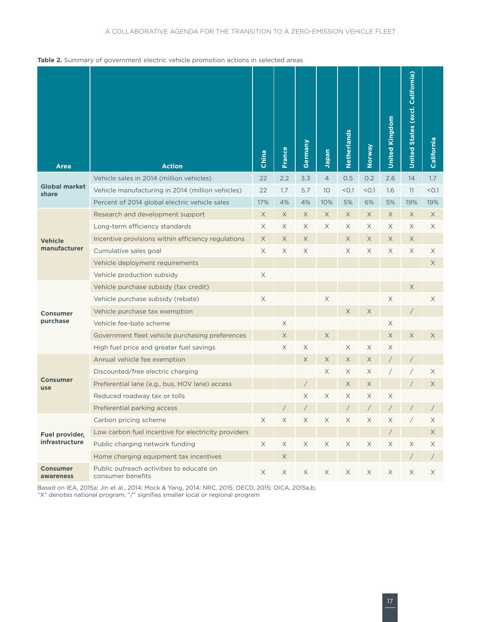#### <span id="page-24-1"></span><span id="page-24-0"></span>**Table 2.** Summary of government electric vehicle promotion actions in selected areas

| <b>Area</b>                   | <b>Action</b>                                                 | China       | France      | Germany               | Japan          | Netherlands           | Veway                 | <b>United Kingdom</b> | United States (excl. California) | California |
|-------------------------------|---------------------------------------------------------------|-------------|-------------|-----------------------|----------------|-----------------------|-----------------------|-----------------------|----------------------------------|------------|
|                               | Vehicle sales in 2014 (million vehicles)                      | 22          | 2.2         | 3.3                   | $\overline{4}$ | 0.5                   | 0.2                   | 2.6                   | 14                               | 1.7        |
| <b>Global market</b><br>share | Vehicle manufacturing in 2014 (million vehicles)              | 22          | 1.7         | 5.7                   | 10             | < 0.1                 | < 0.1                 | 1.6                   | 11                               | < 0.1      |
|                               | Percent of 2014 global electric vehicle sales                 | 17%         | 4%          | 4%                    | 10%            | 5%                    | 6%                    | 5%                    | 19%                              | 19%        |
|                               | Research and development support                              | $\times$    | X           | X.                    | $\times$       | X                     | X.                    | X                     | X                                | X          |
|                               | Long-term efficiency standards                                | X           | $\times$    | X                     | X              | $\times$              | X                     | X                     | $\times$                         | $\times$   |
| <b>Vehicle</b>                | Incentive provisions within efficiency regulations            | X           | X           | X                     |                | $\times$              | $\times$              | X                     | $\times$                         |            |
| manufacturer                  | Cumulative sales goal                                         | X           | X           | X                     |                | X                     | X                     | X                     | X                                | X          |
|                               | Vehicle deployment requirements                               |             |             |                       |                |                       |                       |                       |                                  | X          |
|                               | Vehicle production subsidy                                    | $\times$    |             |                       |                |                       |                       |                       |                                  |            |
|                               | Vehicle purchase subsidy (tax credit)                         |             |             |                       |                |                       |                       |                       | X                                |            |
|                               | Vehicle purchase subsidy (rebate)                             | $\times$    |             |                       | $\times$       |                       |                       | $\mathsf X$           |                                  | X          |
| <b>Consumer</b>               | Vehicle purchase tax exemption                                |             |             |                       |                | X                     | X                     |                       |                                  |            |
| purchase                      | Vehicle fee-bate scheme                                       |             | $\mathsf X$ |                       |                |                       |                       | $\times$              |                                  |            |
|                               | Government fleet vehicle purchasing preferences               |             | X           |                       | X              |                       |                       | $\times$              | X                                | X          |
|                               | High fuel price and greater fuel savings                      |             | X           | X                     |                | $\boldsymbol{\times}$ | $\times$              | X                     |                                  |            |
|                               | Annual vehicle fee exemption                                  |             |             | X                     | $\mathsf X$    | X                     | X                     |                       |                                  |            |
|                               | Discounted/free electric charging                             |             |             |                       | X              | X                     | X                     |                       |                                  | X          |
| <b>Consumer</b><br>use        | Preferential lane (e.g., bus, HOV lane) access                |             |             |                       |                | X                     | X                     |                       |                                  | X          |
|                               | Reduced roadway tax or tolls                                  |             |             | X                     | X              | X                     | X                     | Χ                     |                                  |            |
|                               | Preferential parking access                                   |             |             |                       |                |                       |                       |                       |                                  |            |
|                               | Carbon pricing scheme                                         | X           | $\mathsf X$ | $\boldsymbol{\times}$ | X              | $\boldsymbol{\times}$ | X                     | X                     |                                  | X          |
| Fuel provider,                | Low carbon fuel incentive for electricity providers           |             |             |                       |                |                       |                       | $\sqrt{2}$            |                                  | X          |
| infrastructure                | Public charging network funding                               | $\mathsf X$ | $\times$    | X                     | X              | $\mathsf X$           | $\boldsymbol{\times}$ | X                     | X                                | Χ          |
|                               | Home charging equipment tax incentives                        |             | $\mathsf X$ |                       |                |                       |                       |                       |                                  | $\sqrt{2}$ |
| <b>Consumer</b><br>awareness  | Public outreach activities to educate on<br>consumer benefits | X           | X           | X                     | X              | X                     | X                     | X                     | X                                | X          |

Based on IEA, 2015a; Jin et al., 2014; Mock & Yang, 2014; NRC, 2015; OECD, 2015; OICA, 2015a,b; "X" denotes national program; "/" signifies smaller local or regional program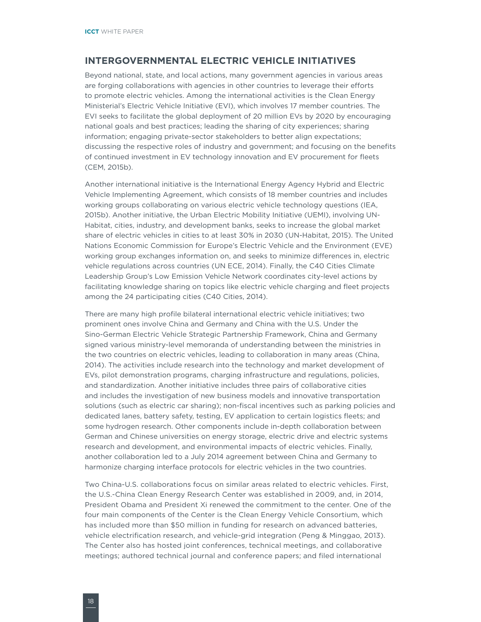#### <span id="page-25-0"></span>**Intergovernmental electric vehicle initiatives**

Beyond national, state, and local actions, many government agencies in various areas are forging collaborations with agencies in other countries to leverage their efforts to promote electric vehicles. Among the international activities is the Clean Energy Ministerial's Electric Vehicle Initiative (EVI), which involves 17 member countries. The EVI seeks to facilitate the global deployment of 20 million EVs by 2020 by encouraging national goals and best practices; leading the sharing of city experiences; sharing information; engaging private-sector stakeholders to better align expectations; discussing the respective roles of industry and government; and focusing on the benefits of continued investment in EV technology innovation and EV procurement for fleets (CEM, 2015b).

Another international initiative is the International Energy Agency Hybrid and Electric Vehicle Implementing Agreement, which consists of 18 member countries and includes working groups collaborating on various electric vehicle technology questions (IEA, 2015b). Another initiative, the Urban Electric Mobility Initiative (UEMI), involving UN-Habitat, cities, industry, and development banks, seeks to increase the global market share of electric vehicles in cities to at least 30% in 2030 (UN-Habitat, 2015). The United Nations Economic Commission for Europe's Electric Vehicle and the Environment (EVE) working group exchanges information on, and seeks to minimize differences in, electric vehicle regulations across countries (UN ECE, 2014). Finally, the C40 Cities Climate Leadership Group's Low Emission Vehicle Network coordinates city-level actions by facilitating knowledge sharing on topics like electric vehicle charging and fleet projects among the 24 participating cities (C40 Cities, 2014).

There are many high profile bilateral international electric vehicle initiatives; two prominent ones involve China and Germany and China with the U.S. Under the Sino-German Electric Vehicle Strategic Partnership Framework, China and Germany signed various ministry-level memoranda of understanding between the ministries in the two countries on electric vehicles, leading to collaboration in many areas (China, 2014). The activities include research into the technology and market development of EVs, pilot demonstration programs, charging infrastructure and regulations, policies, and standardization. Another initiative includes three pairs of collaborative cities and includes the investigation of new business models and innovative transportation solutions (such as electric car sharing); non-fiscal incentives such as parking policies and dedicated lanes, battery safety, testing, EV application to certain logistics fleets; and some hydrogen research. Other components include in-depth collaboration between German and Chinese universities on energy storage, electric drive and electric systems research and development, and environmental impacts of electric vehicles. Finally, another collaboration led to a July 2014 agreement between China and Germany to harmonize charging interface protocols for electric vehicles in the two countries.

Two China-U.S. collaborations focus on similar areas related to electric vehicles. First, the U.S.-China Clean Energy Research Center was established in 2009, and, in 2014, President Obama and President Xi renewed the commitment to the center. One of the four main components of the Center is the Clean Energy Vehicle Consortium, which has included more than \$50 million in funding for research on advanced batteries, vehicle electrification research, and vehicle-grid integration (Peng & Minggao, 2013). The Center also has hosted joint conferences, technical meetings, and collaborative meetings; authored technical journal and conference papers; and filed international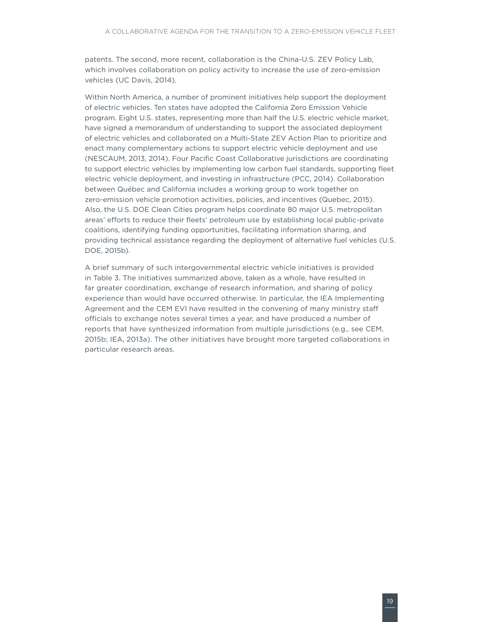patents. The second, more recent, collaboration is the China-U.S. ZEV Policy Lab, which involves collaboration on policy activity to increase the use of zero-emission vehicles (UC Davis, 2014).

Within North America, a number of prominent initiatives help support the deployment of electric vehicles. Ten states have adopted the California Zero Emission Vehicle program. Eight U.S. states, representing more than half the U.S. electric vehicle market, have signed a memorandum of understanding to support the associated deployment of electric vehicles and collaborated on a Multi-State ZEV Action Plan to prioritize and enact many complementary actions to support electric vehicle deployment and use (NESCAUM, 2013, 2014). Four Pacific Coast Collaborative jurisdictions are coordinating to support electric vehicles by implementing low carbon fuel standards, supporting fleet electric vehicle deployment, and investing in infrastructure (PCC, 2014). Collaboration between Québec and California includes a working group to work together on zero-emission vehicle promotion activities, policies, and incentives (Quebec, 2015). Also, the U.S. DOE Clean Cities program helps coordinate 80 major U.S. metropolitan areas' efforts to reduce their fleets' petroleum use by establishing local public-private coalitions, identifying funding opportunities, facilitating information sharing, and providing technical assistance regarding the deployment of alternative fuel vehicles (U.S. DOE, 2015b).

A brief summary of such intergovernmental electric vehicle initiatives is provided in Table 3. The initiatives summarized above, taken as a whole, have resulted in far greater coordination, exchange of research information, and sharing of policy experience than would have occurred otherwise. In particular, the IEA Implementing Agreement and the CEM EVI have resulted in the convening of many ministry staff officials to exchange notes several times a year, and have produced a number of reports that have synthesized information from multiple jurisdictions (e.g., see CEM, 2015b; IEA, 2013a). The other initiatives have brought more targeted collaborations in particular research areas.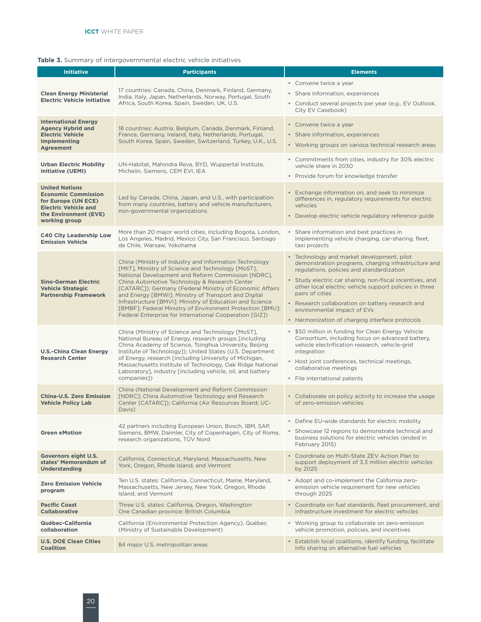#### <span id="page-27-0"></span>**Table 3.** Summary of intergovernmental electric vehicle initiatives

| <b>Initiative</b>                                                                                                                                   | <b>Participants</b>                                                                                                                                                                                                                                                                                                                                                                                                                                                                                                         | <b>Elements</b>                                                                                                                                                                                                                                                                                                                                                                                                               |
|-----------------------------------------------------------------------------------------------------------------------------------------------------|-----------------------------------------------------------------------------------------------------------------------------------------------------------------------------------------------------------------------------------------------------------------------------------------------------------------------------------------------------------------------------------------------------------------------------------------------------------------------------------------------------------------------------|-------------------------------------------------------------------------------------------------------------------------------------------------------------------------------------------------------------------------------------------------------------------------------------------------------------------------------------------------------------------------------------------------------------------------------|
| <b>Clean Energy Ministerial</b><br><b>Electric Vehicle Initiative</b>                                                                               | 17 countries: Canada, China, Denmark, Finland, Germany,<br>India, Italy, Japan, Netherlands, Norway, Portugal, South<br>Africa, South Korea, Spain, Sweden, UK, U.S.                                                                                                                                                                                                                                                                                                                                                        | • Convene twice a year<br>• Share information, experiences<br>• Conduct several projects per year (e.g., EV Outlook,<br>City EV Casebook)                                                                                                                                                                                                                                                                                     |
| <b>International Energy</b><br><b>Agency Hybrid and</b><br><b>Electric Vehicle</b><br><b>Implementing</b><br><b>Agreement</b>                       | 18 countries: Austria, Belgium, Canada, Denmark, Finland,<br>France, Germany, Ireland, Italy, Netherlands, Portugal,<br>South Korea, Spain, Sweden, Switzerland, Turkey, U.K., U.S.                                                                                                                                                                                                                                                                                                                                         | • Convene twice a year<br>• Share information, experiences<br>• Working groups on various technical research areas                                                                                                                                                                                                                                                                                                            |
| <b>Urban Electric Mobility</b><br><b>Initiative (UEMI)</b>                                                                                          | UN-Habitat, Mahindra Reva, BYD, Wuppertal Institute,<br>Michelin, Siemens, CEM EVI, IEA                                                                                                                                                                                                                                                                                                                                                                                                                                     | • Commitments from cities, industry for 30% electric<br>vehicle share in 2030<br>• Provide forum for knowledge transfer                                                                                                                                                                                                                                                                                                       |
| <b>United Nations</b><br><b>Economic Commission</b><br>for Europe (UN ECE)<br><b>Electric Vehicle and</b><br>the Environment (EVE)<br>working group | Led by Canada, China, Japan, and U.S., with participation<br>from many countries, battery and vehicle manufacturers,<br>non-governmental organizations                                                                                                                                                                                                                                                                                                                                                                      | • Exchange information on, and seek to minimize<br>differences in, regulatory requirements for electric<br>vehicles<br>• Develop electric vehicle regulatory reference guide                                                                                                                                                                                                                                                  |
| <b>C40 City Leadership Low</b><br><b>Emission Vehicle</b>                                                                                           | More than 20 major world cities, including Bogota, London,<br>Los Angeles, Madrid, Mexico City, San Francisco, Santiago<br>de Chile, Warsaw, Yokohama                                                                                                                                                                                                                                                                                                                                                                       | • Share information and best practices in<br>implementing vehicle charging, car-sharing, fleet,<br>taxi projects                                                                                                                                                                                                                                                                                                              |
| <b>Sino-German Electric</b><br><b>Vehicle Strategic</b><br><b>Partnership Framework</b>                                                             | China (Ministry of Industry and Information Technology<br>[MIIT], Ministry of Science and Technology [MoST],<br>National Development and Reform Commission [NDRC].<br>China Automotive Technology & Research Center<br>[CATARC]); Germany (Federal Ministry of Economic Affairs<br>and Energy [BMWi]; Ministry of Transport and Digital<br>Infrastructure [BMVI]; Ministry of Education and Science<br>[BMBF]; Federal Ministry of Environment Protection [BMU];<br>Federal Enterprise for International Cooperation [GIZ]) | • Technology and market development, pilot<br>demonstration programs, charging infrastructure and<br>regulations, policies and standardization<br>• Study electric car sharing, non-fiscal incentives, and<br>other local electric vehicle support policies in three<br>pairs of cities<br>• Research collaboration on battery research and<br>environmental impact of EVs<br>• Harmonization of charging interface protocols |
| <b>U.S.-China Clean Energy</b><br><b>Research Center</b>                                                                                            | China (Ministry of Science and Technology [MoST],<br>National Bureau of Energy, research groups [including<br>China Academy of Science, Tsinghua University, Beijing<br>Institute of Technology]); United States (U.S. Department<br>of Energy, research [including University of Michigan,<br>Massachusetts Institute of Technology, Oak Ridge National<br>Laboratory], industry [including vehicle, oil, and battery<br>companies])                                                                                       | • \$50 million in funding for Clean Energy Vehicle<br>Consortium, including focus on advanced battery,<br>vehicle electrification research, vehicle-grid<br>integration<br>• Host joint conferences, technical meetings,<br>collaborative meetings<br>• File international patents                                                                                                                                            |
| <b>China-U.S. Zero Emission</b><br><b>Vehicle Policy Lab</b>                                                                                        | China (National Development and Reform Commission<br>[NDRC]; China Automotive Technology and Research<br>Center [CATARC]); California (Air Resources Board; UC-<br>Davis)                                                                                                                                                                                                                                                                                                                                                   | • Collaborate on policy activity to increase the usage<br>of zero-emission vehicles                                                                                                                                                                                                                                                                                                                                           |
| <b>Green eMotion</b>                                                                                                                                | 42 partners including European Union, Bosch, IBM, SAP,<br>Siemens, BMW, Daimler, City of Copenhagen, City of Rome,<br>research organizations, TÜV Nord                                                                                                                                                                                                                                                                                                                                                                      | • Define EU-wide standards for electric mobility<br>• Showcase 12 regions to demonstrate technical and<br>business solutions for electric vehicles (ended in<br>February 2015)                                                                                                                                                                                                                                                |
| Governors eight U.S.<br>states' Memorandum of<br><b>Understanding</b>                                                                               | California, Connecticut, Maryland, Massachusetts, New<br>York, Oregon, Rhode Island, and Vermont                                                                                                                                                                                                                                                                                                                                                                                                                            | • Coordinate on Multi-State ZEV Action Plan to<br>support deployment of 3.3 million electric vehicles<br>by 2025                                                                                                                                                                                                                                                                                                              |
| <b>Zero Emission Vehicle</b><br>program                                                                                                             | Ten U.S. states: California, Connecticut, Maine, Maryland,<br>Massachusetts, New Jersey, New York, Oregon, Rhode<br>Island, and Vermont                                                                                                                                                                                                                                                                                                                                                                                     | • Adopt and co-implement the California zero-<br>emission vehicle requirement for new vehicles<br>through 2025                                                                                                                                                                                                                                                                                                                |
| <b>Pacific Coast</b><br><b>Collaborative</b>                                                                                                        | Three U.S. states: California, Oregon, Washington<br>One Canadian province: British Columbia                                                                                                                                                                                                                                                                                                                                                                                                                                | • Coordinate on fuel standards, fleet procurement, and<br>infrastructure investment for electric vehicles                                                                                                                                                                                                                                                                                                                     |
| Québec-California<br>collaboration                                                                                                                  | California (Environmental Protection Agency), Québec<br>(Ministry of Sustainable Development)                                                                                                                                                                                                                                                                                                                                                                                                                               | • Working group to collaborate on zero-emission<br>vehicle promotion, policies, and incentives                                                                                                                                                                                                                                                                                                                                |
| <b>U.S. DOE Clean Cities</b><br><b>Coalition</b>                                                                                                    | 84 major U.S. metropolitan areas                                                                                                                                                                                                                                                                                                                                                                                                                                                                                            | • Establish local coalitions, identify funding, facilitate<br>info sharing on alternative fuel vehicles                                                                                                                                                                                                                                                                                                                       |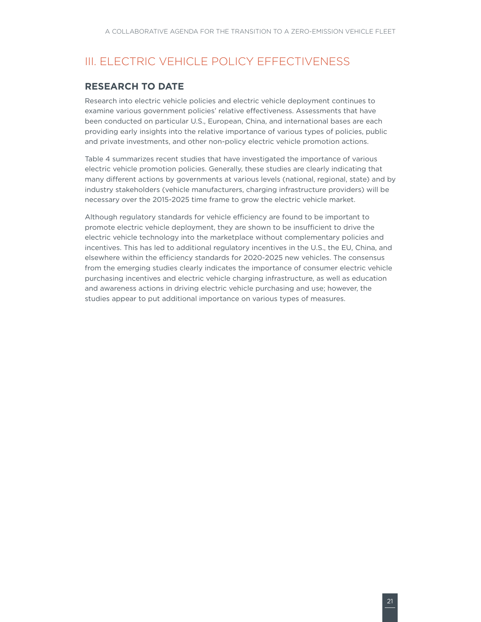# <span id="page-28-0"></span>III. ELECTRIC VEHICLE POLICY EFFECTIVENESS

### **Research to date**

Research into electric vehicle policies and electric vehicle deployment continues to examine various government policies' relative effectiveness. Assessments that have been conducted on particular U.S., European, China, and international bases are each providing early insights into the relative importance of various types of policies, public and private investments, and other non-policy electric vehicle promotion actions.

Table 4 summarizes recent studies that have investigated the importance of various electric vehicle promotion policies. Generally, these studies are clearly indicating that many different actions by governments at various levels (national, regional, state) and by industry stakeholders (vehicle manufacturers, charging infrastructure providers) will be necessary over the 2015-2025 time frame to grow the electric vehicle market.

Although regulatory standards for vehicle efficiency are found to be important to promote electric vehicle deployment, they are shown to be insufficient to drive the electric vehicle technology into the marketplace without complementary policies and incentives. This has led to additional regulatory incentives in the U.S., the EU, China, and elsewhere within the efficiency standards for 2020-2025 new vehicles. The consensus from the emerging studies clearly indicates the importance of consumer electric vehicle purchasing incentives and electric vehicle charging infrastructure, as well as education and awareness actions in driving electric vehicle purchasing and use; however, the studies appear to put additional importance on various types of measures.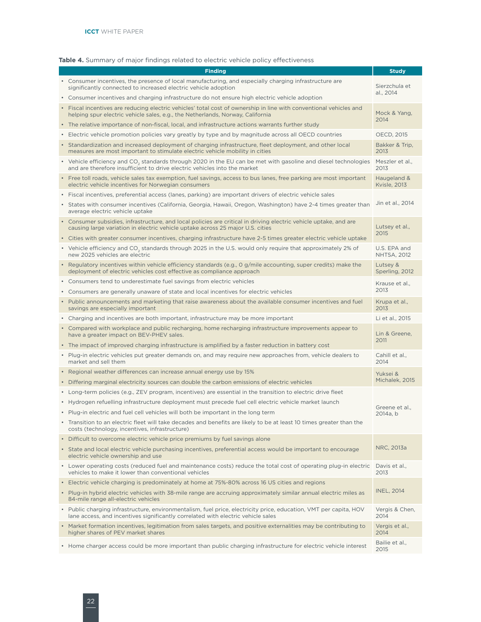#### <span id="page-29-0"></span>**Table 4.** Summary of major findings related to electric vehicle policy effectiveness

| <b>Finding</b>                                                                                                                                                                                          |                                    |  |  |
|---------------------------------------------------------------------------------------------------------------------------------------------------------------------------------------------------------|------------------------------------|--|--|
| • Consumer incentives, the presence of local manufacturing, and especially charging infrastructure are<br>significantly connected to increased electric vehicle adoption                                |                                    |  |  |
| • Consumer incentives and charging infrastructure do not ensure high electric vehicle adoption                                                                                                          | al., 2014                          |  |  |
| • Fiscal incentives are reducing electric vehicles' total cost of ownership in line with conventional vehicles and<br>helping spur electric vehicle sales, e.g., the Netherlands, Norway, California    | Mock & Yang,<br>2014               |  |  |
| • The relative importance of non-fiscal, local, and infrastructure actions warrants further study                                                                                                       |                                    |  |  |
| • Electric vehicle promotion policies vary greatly by type and by magnitude across all OECD countries                                                                                                   | OECD, 2015                         |  |  |
| • Standardization and increased deployment of charging infrastructure, fleet deployment, and other local<br>measures are most important to stimulate electric vehicle mobility in cities                | Bakker & Trip,<br>2013             |  |  |
| • Vehicle efficiency and CO <sub>2</sub> standards through 2020 in the EU can be met with gasoline and diesel technologies<br>and are therefore insufficient to drive electric vehicles into the market | Meszler et al.,<br>2013            |  |  |
| • Free toll roads, vehicle sales tax exemption, fuel savings, access to bus lanes, free parking are most important<br>electric vehicle incentives for Norwegian consumers                               | Haugeland &<br><b>Kvisle, 2013</b> |  |  |
| · Fiscal incentives, preferential access (lanes, parking) are important drivers of electric vehicle sales                                                                                               |                                    |  |  |
| • States with consumer incentives (California, Georgia, Hawaii, Oregon, Washington) have 2-4 times greater than<br>average electric vehicle uptake                                                      | Jin et al., 2014                   |  |  |
| • Consumer subsidies, infrastructure, and local policies are critical in driving electric vehicle uptake, and are<br>causing large variation in electric vehicle uptake across 25 major U.S. cities     | Lutsey et al.,                     |  |  |
| • Cities with greater consumer incentives, charging infrastructure have 2-5 times greater electric vehicle uptake                                                                                       | 2015                               |  |  |
| • Vehicle efficiency and CO <sub>2</sub> standards through 2025 in the U.S. would only require that approximately 2% of<br>new 2025 vehicles are electric                                               | U.S. EPA and<br><b>NHTSA, 2012</b> |  |  |
| • Regulatory incentives within vehicle efficiency standards (e.g., 0 g/mile accounting, super credits) make the<br>deployment of electric vehicles cost effective as compliance approach                | Lutsey &<br>Sperling, 2012         |  |  |
| • Consumers tend to underestimate fuel savings from electric vehicles                                                                                                                                   | Krause et al.,                     |  |  |
| • Consumers are generally unaware of state and local incentives for electric vehicles                                                                                                                   | 2013                               |  |  |
| • Public announcements and marketing that raise awareness about the available consumer incentives and fuel<br>savings are especially important                                                          | Krupa et al.,<br>2013              |  |  |
| • Charging and incentives are both important, infrastructure may be more important                                                                                                                      | Li et al., 2015                    |  |  |
| • Compared with workplace and public recharging, home recharging infrastructure improvements appear to<br>have a greater impact on BEV-PHEV sales.                                                      | Lin & Greene,<br>2011              |  |  |
| • The impact of improved charging infrastructure is amplified by a faster reduction in battery cost                                                                                                     |                                    |  |  |
| • Plug-in electric vehicles put greater demands on, and may require new approaches from, vehicle dealers to<br>market and sell them                                                                     | Cahill et al.,<br>2014             |  |  |
| • Regional weather differences can increase annual energy use by 15%                                                                                                                                    | Yuksei &                           |  |  |
| • Differing marginal electricity sources can double the carbon emissions of electric vehicles                                                                                                           | Michalek. 2015                     |  |  |
| • Long-term policies (e.g., ZEV program, incentives) are essential in the transition to electric drive fleet                                                                                            |                                    |  |  |
| • Hydrogen refuelling infrastructure deployment must precede fuel cell electric vehicle market launch                                                                                                   | Greene et al.,                     |  |  |
| • Plug-in electric and fuel cell vehicles will both be important in the long term                                                                                                                       | 2014a, b                           |  |  |
| • Transition to an electric fleet will take decades and benefits are likely to be at least 10 times greater than the<br>costs (technology, incentives, infrastructure)                                  |                                    |  |  |
| • Difficult to overcome electric vehicle price premiums by fuel savings alone                                                                                                                           |                                    |  |  |
| • State and local electric vehicle purchasing incentives, preferential access would be important to encourage<br>electric vehicle ownership and use                                                     | NRC, 2013a                         |  |  |
| • Lower operating costs (reduced fuel and maintenance costs) reduce the total cost of operating plug-in electric<br>vehicles to make it lower than conventional vehicles                                | Davis et al.,<br>2013              |  |  |
| • Electric vehicle charging is predominately at home at 75%-80% across 16 US cities and regions                                                                                                         |                                    |  |  |
| • Plug-in hybrid electric vehicles with 38-mile range are accruing approximately similar annual electric miles as<br>84-mile range all-electric vehicles                                                | <b>INEL, 2014</b>                  |  |  |
| • Public charging infrastructure, environmentalism, fuel price, electricity price, education, VMT per capita, HOV<br>lane access, and incentives significantly correlated with electric vehicle sales   | Vergis & Chen,<br>2014             |  |  |
| • Market formation incentives, legitimation from sales targets, and positive externalities may be contributing to<br>higher shares of PEV market shares                                                 | Vergis et al.,<br>2014             |  |  |
| • Home charger access could be more important than public charging infrastructure for electric vehicle interest                                                                                         | Bailie et al.,<br>2015             |  |  |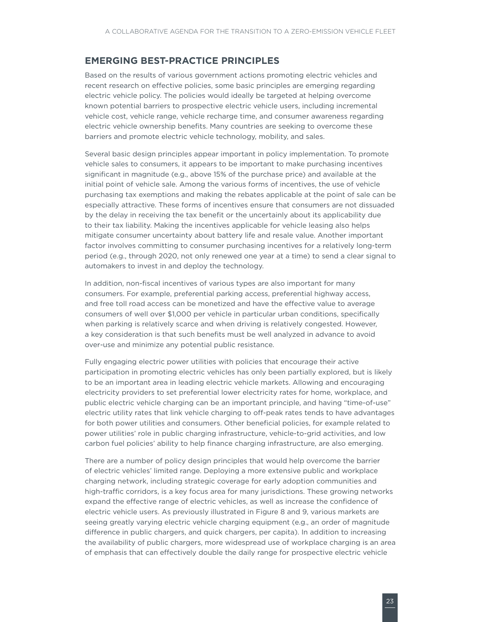### <span id="page-30-0"></span>**Emerging best-practice principles**

Based on the results of various government actions promoting electric vehicles and recent research on effective policies, some basic principles are emerging regarding electric vehicle policy. The policies would ideally be targeted at helping overcome known potential barriers to prospective electric vehicle users, including incremental vehicle cost, vehicle range, vehicle recharge time, and consumer awareness regarding electric vehicle ownership benefits. Many countries are seeking to overcome these barriers and promote electric vehicle technology, mobility, and sales.

Several basic design principles appear important in policy implementation. To promote vehicle sales to consumers, it appears to be important to make purchasing incentives significant in magnitude (e.g., above 15% of the purchase price) and available at the initial point of vehicle sale. Among the various forms of incentives, the use of vehicle purchasing tax exemptions and making the rebates applicable at the point of sale can be especially attractive. These forms of incentives ensure that consumers are not dissuaded by the delay in receiving the tax benefit or the uncertainly about its applicability due to their tax liability. Making the incentives applicable for vehicle leasing also helps mitigate consumer uncertainty about battery life and resale value. Another important factor involves committing to consumer purchasing incentives for a relatively long-term period (e.g., through 2020, not only renewed one year at a time) to send a clear signal to automakers to invest in and deploy the technology.

In addition, non-fiscal incentives of various types are also important for many consumers. For example, preferential parking access, preferential highway access, and free toll road access can be monetized and have the effective value to average consumers of well over \$1,000 per vehicle in particular urban conditions, specifically when parking is relatively scarce and when driving is relatively congested. However, a key consideration is that such benefits must be well analyzed in advance to avoid over-use and minimize any potential public resistance.

Fully engaging electric power utilities with policies that encourage their active participation in promoting electric vehicles has only been partially explored, but is likely to be an important area in leading electric vehicle markets. Allowing and encouraging electricity providers to set preferential lower electricity rates for home, workplace, and public electric vehicle charging can be an important principle, and having "time-of-use" electric utility rates that link vehicle charging to off-peak rates tends to have advantages for both power utilities and consumers. Other beneficial policies, for example related to power utilities' role in public charging infrastructure, vehicle-to-grid activities, and low carbon fuel policies' ability to help finance charging infrastructure, are also emerging.

There are a number of policy design principles that would help overcome the barrier of electric vehicles' limited range. Deploying a more extensive public and workplace charging network, including strategic coverage for early adoption communities and high-traffic corridors, is a key focus area for many jurisdictions. These growing networks expand the effective range of electric vehicles, as well as increase the confidence of electric vehicle users. As previously illustrated in [Figure 8](#page-19-1) and 9, various markets are seeing greatly varying electric vehicle charging equipment (e.g., an order of magnitude difference in public chargers, and quick chargers, per capita). In addition to increasing the availability of public chargers, more widespread use of workplace charging is an area of emphasis that can effectively double the daily range for prospective electric vehicle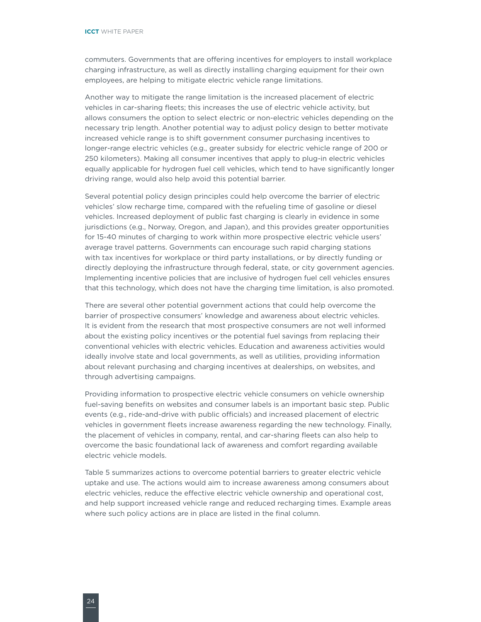commuters. Governments that are offering incentives for employers to install workplace charging infrastructure, as well as directly installing charging equipment for their own employees, are helping to mitigate electric vehicle range limitations.

Another way to mitigate the range limitation is the increased placement of electric vehicles in car-sharing fleets; this increases the use of electric vehicle activity, but allows consumers the option to select electric or non-electric vehicles depending on the necessary trip length. Another potential way to adjust policy design to better motivate increased vehicle range is to shift government consumer purchasing incentives to longer-range electric vehicles (e.g., greater subsidy for electric vehicle range of 200 or 250 kilometers). Making all consumer incentives that apply to plug-in electric vehicles equally applicable for hydrogen fuel cell vehicles, which tend to have significantly longer driving range, would also help avoid this potential barrier.

Several potential policy design principles could help overcome the barrier of electric vehicles' slow recharge time, compared with the refueling time of gasoline or diesel vehicles. Increased deployment of public fast charging is clearly in evidence in some jurisdictions (e.g., Norway, Oregon, and Japan), and this provides greater opportunities for 15-40 minutes of charging to work within more prospective electric vehicle users' average travel patterns. Governments can encourage such rapid charging stations with tax incentives for workplace or third party installations, or by directly funding or directly deploying the infrastructure through federal, state, or city government agencies. Implementing incentive policies that are inclusive of hydrogen fuel cell vehicles ensures that this technology, which does not have the charging time limitation, is also promoted.

There are several other potential government actions that could help overcome the barrier of prospective consumers' knowledge and awareness about electric vehicles. It is evident from the research that most prospective consumers are not well informed about the existing policy incentives or the potential fuel savings from replacing their conventional vehicles with electric vehicles. Education and awareness activities would ideally involve state and local governments, as well as utilities, providing information about relevant purchasing and charging incentives at dealerships, on websites, and through advertising campaigns.

Providing information to prospective electric vehicle consumers on vehicle ownership fuel-saving benefits on websites and consumer labels is an important basic step. Public events (e.g., ride-and-drive with public officials) and increased placement of electric vehicles in government fleets increase awareness regarding the new technology. Finally, the placement of vehicles in company, rental, and car-sharing fleets can also help to overcome the basic foundational lack of awareness and comfort regarding available electric vehicle models.

Table 5 summarizes actions to overcome potential barriers to greater electric vehicle uptake and use. The actions would aim to increase awareness among consumers about electric vehicles, reduce the effective electric vehicle ownership and operational cost, and help support increased vehicle range and reduced recharging times. Example areas where such policy actions are in place are listed in the final column.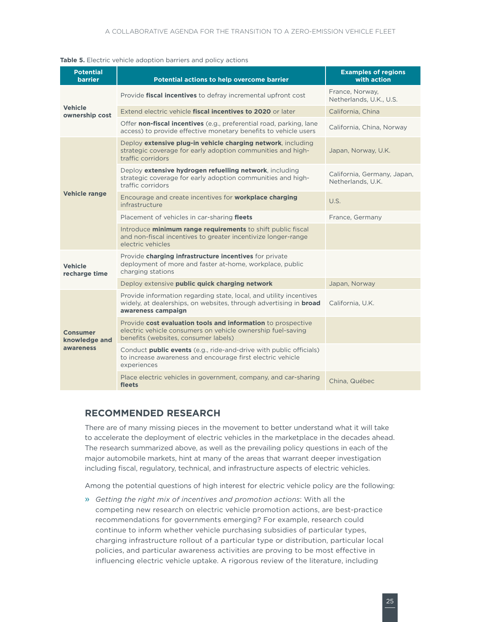#### <span id="page-32-0"></span>**Table 5.** Electric vehicle adoption barriers and policy actions

| <b>Potential</b><br><b>barrier</b> | Potential actions to help overcome barrier                                                                                                                           | <b>Examples of regions</b><br>with action        |  |  |
|------------------------------------|----------------------------------------------------------------------------------------------------------------------------------------------------------------------|--------------------------------------------------|--|--|
|                                    | Provide fiscal incentives to defray incremental upfront cost                                                                                                         | France, Norway,<br>Netherlands, U.K., U.S.       |  |  |
| <b>Vehicle</b><br>ownership cost   | Extend electric vehicle fiscal incentives to 2020 or later                                                                                                           | California, China                                |  |  |
|                                    | Offer non-fiscal incentives (e.g., preferential road, parking, lane<br>access) to provide effective monetary benefits to vehicle users                               | California, China, Norway                        |  |  |
|                                    | Deploy extensive plug-in vehicle charging network, including<br>strategic coverage for early adoption communities and high-<br>traffic corridors                     | Japan, Norway, U.K.                              |  |  |
|                                    | Deploy extensive hydrogen refuelling network, including<br>strategic coverage for early adoption communities and high-<br>traffic corridors                          | California, Germany, Japan,<br>Netherlands, U.K. |  |  |
| <b>Vehicle range</b>               | Encourage and create incentives for <b>workplace charging</b><br>infrastructure                                                                                      | U.S.                                             |  |  |
|                                    | Placement of vehicles in car-sharing fleets                                                                                                                          | France, Germany                                  |  |  |
|                                    | Introduce minimum range requirements to shift public fiscal<br>and non-fiscal incentives to greater incentivize longer-range<br>electric vehicles                    |                                                  |  |  |
| <b>Vehicle</b><br>recharge time    | Provide charging infrastructure incentives for private<br>deployment of more and faster at-home, workplace, public<br>charging stations                              |                                                  |  |  |
|                                    | Deploy extensive public quick charging network                                                                                                                       | Japan, Norway                                    |  |  |
|                                    | Provide information regarding state, local, and utility incentives<br>widely, at dealerships, on websites, through advertising in <b>broad</b><br>awareness campaign | California, U.K.                                 |  |  |
| Consumer<br>knowledge and          | Provide cost evaluation tools and information to prospective<br>electric vehicle consumers on vehicle ownership fuel-saving<br>benefits (websites, consumer labels)  |                                                  |  |  |
| awareness                          | Conduct <b>public events</b> (e.g., ride-and-drive with public officials)<br>to increase awareness and encourage first electric vehicle<br>experiences               |                                                  |  |  |
|                                    | Place electric vehicles in government, company, and car-sharing<br>fleets                                                                                            | China, Québec                                    |  |  |

#### **Recommended research**

There are of many missing pieces in the movement to better understand what it will take to accelerate the deployment of electric vehicles in the marketplace in the decades ahead. The research summarized above, as well as the prevailing policy questions in each of the major automobile markets, hint at many of the areas that warrant deeper investigation including fiscal, regulatory, technical, and infrastructure aspects of electric vehicles.

Among the potential questions of high interest for electric vehicle policy are the following:

» *Getting the right mix of incentives and promotion actions*: With all the competing new research on electric vehicle promotion actions, are best-practice recommendations for governments emerging? For example, research could continue to inform whether vehicle purchasing subsidies of particular types, charging infrastructure rollout of a particular type or distribution, particular local policies, and particular awareness activities are proving to be most effective in influencing electric vehicle uptake. A rigorous review of the literature, including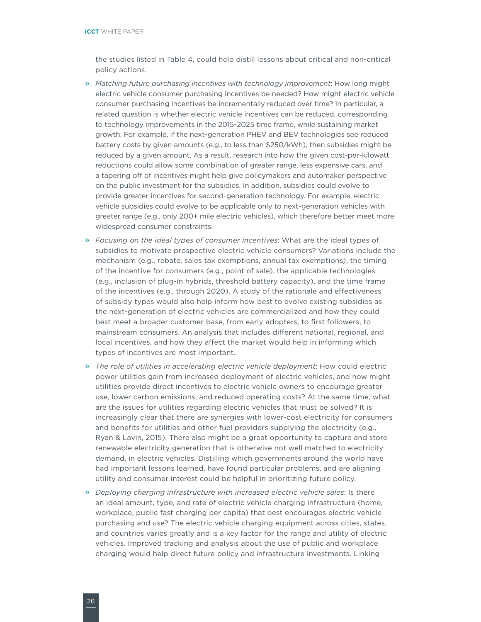#### **ICCT** white paper

the studies listed in Table 4, could help distill lessons about critical and non-critical policy actions.

- » *Matching future purchasing incentives with technology improvement*: How long might electric vehicle consumer purchasing incentives be needed? How might electric vehicle consumer purchasing incentives be incrementally reduced over time? In particular, a related question is whether electric vehicle incentives can be reduced, corresponding to technology improvements in the 2015-2025 time frame, while sustaining market growth. For example, if the next-generation PHEV and BEV technologies see reduced battery costs by given amounts (e.g., to less than \$250/kWh), then subsidies might be reduced by a given amount. As a result, research into how the given cost-per-kilowatt reductions could allow some combination of greater range, less expensive cars, and a tapering off of incentives might help give policymakers and automaker perspective on the public investment for the subsidies. In addition, subsidies could evolve to provide greater incentives for second-generation technology. For example, electric vehicle subsidies could evolve to be applicable only to next-generation vehicles with greater range (e.g., only 200+ mile electric vehicles), which therefore better meet more widespread consumer constraints.
- » *Focusing on the ideal types of consumer incentives*: What are the ideal types of subsidies to motivate prospective electric vehicle consumers? Variations include the mechanism (e.g., rebate, sales tax exemptions, annual tax exemptions), the timing of the incentive for consumers (e.g., point of sale), the applicable technologies (e.g., inclusion of plug-in hybrids, threshold battery capacity), and the time frame of the incentives (e.g., through 2020). A study of the rationale and effectiveness of subsidy types would also help inform how best to evolve existing subsidies as the next-generation of electric vehicles are commercialized and how they could best meet a broader customer base, from early adopters, to first followers, to mainstream consumers. An analysis that includes different national, regional, and local incentives, and how they affect the market would help in informing which types of incentives are most important.
- » *The role of utilities in accelerating electric vehicle deployment*: How could electric power utilities gain from increased deployment of electric vehicles, and how might utilities provide direct incentives to electric vehicle owners to encourage greater use, lower carbon emissions, and reduced operating costs? At the same time, what are the issues for utilities regarding electric vehicles that must be solved? It is increasingly clear that there are synergies with lower-cost electricity for consumers and benefits for utilities and other fuel providers supplying the electricity (e.g., Ryan & Lavin, 2015). There also might be a great opportunity to capture and store renewable electricity generation that is otherwise not well matched to electricity demand, in electric vehicles. Distilling which governments around the world have had important lessons learned, have found particular problems, and are aligning utility and consumer interest could be helpful in prioritizing future policy.
- » *Deploying charging infrastructure with increased electric vehicle sales*: Is there an ideal amount, type, and rate of electric vehicle charging infrastructure (home, workplace, public fast charging per capita) that best encourages electric vehicle purchasing and use? The electric vehicle charging equipment across cities, states, and countries varies greatly and is a key factor for the range and utility of electric vehicles. Improved tracking and analysis about the use of public and workplace charging would help direct future policy and infrastructure investments. Linking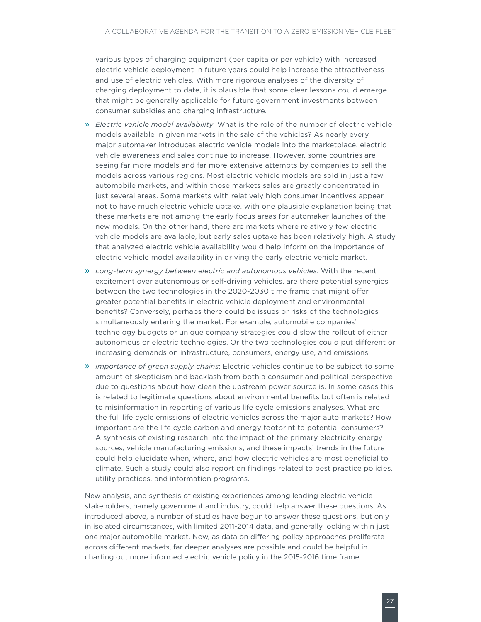various types of charging equipment (per capita or per vehicle) with increased electric vehicle deployment in future years could help increase the attractiveness and use of electric vehicles. With more rigorous analyses of the diversity of charging deployment to date, it is plausible that some clear lessons could emerge that might be generally applicable for future government investments between consumer subsidies and charging infrastructure.

- » *Electric vehicle model availability*: What is the role of the number of electric vehicle models available in given markets in the sale of the vehicles? As nearly every major automaker introduces electric vehicle models into the marketplace, electric vehicle awareness and sales continue to increase. However, some countries are seeing far more models and far more extensive attempts by companies to sell the models across various regions. Most electric vehicle models are sold in just a few automobile markets, and within those markets sales are greatly concentrated in just several areas. Some markets with relatively high consumer incentives appear not to have much electric vehicle uptake, with one plausible explanation being that these markets are not among the early focus areas for automaker launches of the new models. On the other hand, there are markets where relatively few electric vehicle models are available, but early sales uptake has been relatively high. A study that analyzed electric vehicle availability would help inform on the importance of electric vehicle model availability in driving the early electric vehicle market.
- » *Long-term synergy between electric and autonomous vehicles*: With the recent excitement over autonomous or self-driving vehicles, are there potential synergies between the two technologies in the 2020-2030 time frame that might offer greater potential benefits in electric vehicle deployment and environmental benefits? Conversely, perhaps there could be issues or risks of the technologies simultaneously entering the market. For example, automobile companies' technology budgets or unique company strategies could slow the rollout of either autonomous or electric technologies. Or the two technologies could put different or increasing demands on infrastructure, consumers, energy use, and emissions.
- » *Importance of green supply chains*: Electric vehicles continue to be subject to some amount of skepticism and backlash from both a consumer and political perspective due to questions about how clean the upstream power source is. In some cases this is related to legitimate questions about environmental benefits but often is related to misinformation in reporting of various life cycle emissions analyses. What are the full life cycle emissions of electric vehicles across the major auto markets? How important are the life cycle carbon and energy footprint to potential consumers? A synthesis of existing research into the impact of the primary electricity energy sources, vehicle manufacturing emissions, and these impacts' trends in the future could help elucidate when, where, and how electric vehicles are most beneficial to climate. Such a study could also report on findings related to best practice policies, utility practices, and information programs.

New analysis, and synthesis of existing experiences among leading electric vehicle stakeholders, namely government and industry, could help answer these questions. As introduced above, a number of studies have begun to answer these questions, but only in isolated circumstances, with limited 2011-2014 data, and generally looking within just one major automobile market. Now, as data on differing policy approaches proliferate across different markets, far deeper analyses are possible and could be helpful in charting out more informed electric vehicle policy in the 2015-2016 time frame.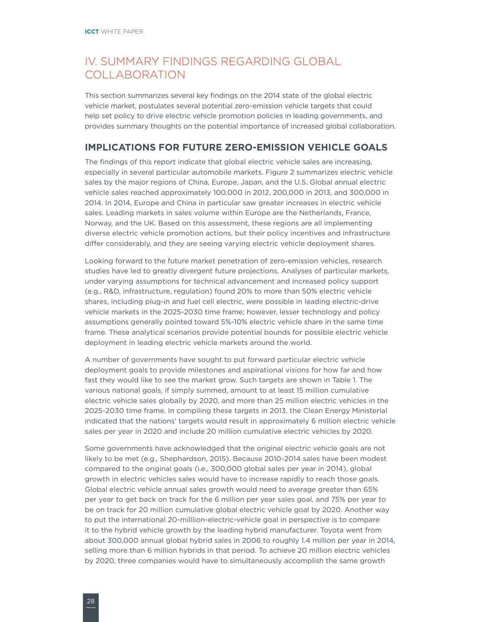# <span id="page-35-0"></span>IV. Summary findings regarding global collaboration

This section summarizes several key findings on the 2014 state of the global electric vehicle market, postulates several potential zero-emission vehicle targets that could help set policy to drive electric vehicle promotion policies in leading governments, and provides summary thoughts on the potential importance of increased global collaboration.

### **Implications for future zero-emission vehicle goals**

The findings of this report indicate that global electric vehicle sales are increasing, especially in several particular automobile markets. Figure 2 summarizes electric vehicle sales by the major regions of China, Europe, Japan, and the U.S. Global annual electric vehicle sales reached approximately 100,000 in 2012, 200,000 in 2013, and 300,000 in 2014. In 2014, Europe and China in particular saw greater increases in electric vehicle sales. Leading markets in sales volume within Europe are the Netherlands, France, Norway, and the UK. Based on this assessment, these regions are all implementing diverse electric vehicle promotion actions, but their policy incentives and infrastructure differ considerably, and they are seeing varying electric vehicle deployment shares.

Looking forward to the future market penetration of zero-emission vehicles, research studies have led to greatly divergent future projections. Analyses of particular markets, under varying assumptions for technical advancement and increased policy support (e.g., R&D, infrastructure, regulation) found 20% to more than 50% electric vehicle shares, including plug-in and fuel cell electric, were possible in leading electric-drive vehicle markets in the 2025-2030 time frame; however, lesser technology and policy assumptions generally pointed toward 5%-10% electric vehicle share in the same time frame. These analytical scenarios provide potential bounds for possible electric vehicle deployment in leading electric vehicle markets around the world.

A number of governments have sought to put forward particular electric vehicle deployment goals to provide milestones and aspirational visions for how far and how fast they would like to see the market grow. Such targets are shown in Table 1. The various national goals, if simply summed, amount to at least 15 million cumulative electric vehicle sales globally by 2020, and more than 25 million electric vehicles in the 2025-2030 time frame. In compiling these targets in 2013, the Clean Energy Ministerial indicated that the nations' targets would result in approximately 6 million electric vehicle sales per year in 2020 and include 20 million cumulative electric vehicles by 2020.

Some governments have acknowledged that the original electric vehicle goals are not likely to be met (e.g., Shephardson, 2015). Because 2010-2014 sales have been modest compared to the original goals (i.e., 300,000 global sales per year in 2014), global growth in electric vehicles sales would have to increase rapidly to reach those goals. Global electric vehicle annual sales growth would need to average greater than 65% per year to get back on track for the 6 million per year sales goal, and 75% per year to be on track for 20 million cumulative global electric vehicle goal by 2020. Another way to put the international 20-milllion-electric-vehicle goal in perspective is to compare it to the hybrid vehicle growth by the leading hybrid manufacturer. Toyota went from about 300,000 annual global hybrid sales in 2006 to roughly 1.4 million per year in 2014, selling more than 6 million hybrids in that period. To achieve 20 million electric vehicles by 2020, three companies would have to simultaneously accomplish the same growth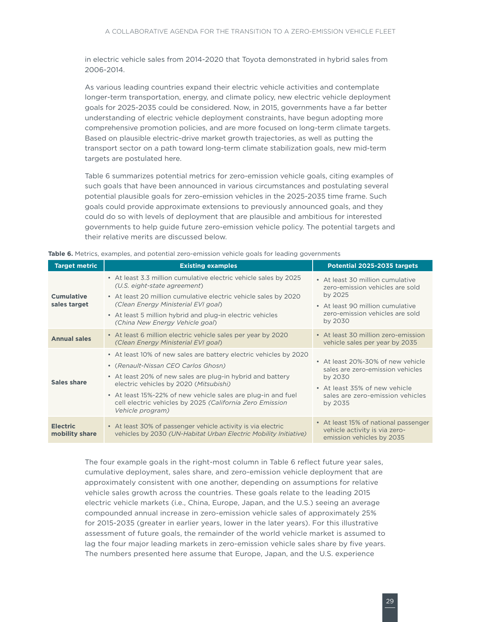<span id="page-36-0"></span>in electric vehicle sales from 2014-2020 that Toyota demonstrated in hybrid sales from 2006-2014.

As various leading countries expand their electric vehicle activities and contemplate longer-term transportation, energy, and climate policy, new electric vehicle deployment goals for 2025-2035 could be considered. Now, in 2015, governments have a far better understanding of electric vehicle deployment constraints, have begun adopting more comprehensive promotion policies, and are more focused on long-term climate targets. Based on plausible electric-drive market growth trajectories, as well as putting the transport sector on a path toward long-term climate stabilization goals, new mid-term targets are postulated here.

Table 6 summarizes potential metrics for zero-emission vehicle goals, citing examples of such goals that have been announced in various circumstances and postulating several potential plausible goals for zero-emission vehicles in the 2025-2035 time frame. Such goals could provide approximate extensions to previously announced goals, and they could do so with levels of deployment that are plausible and ambitious for interested governments to help guide future zero-emission vehicle policy. The potential targets and their relative merits are discussed below.

| <b>Target metric</b>              | <b>Existing examples</b>                                                                                                                                                                                                                                                                                                                                         | Potential 2025-2035 targets                                                                                                                                      |
|-----------------------------------|------------------------------------------------------------------------------------------------------------------------------------------------------------------------------------------------------------------------------------------------------------------------------------------------------------------------------------------------------------------|------------------------------------------------------------------------------------------------------------------------------------------------------------------|
| <b>Cumulative</b><br>sales target | • At least 3.3 million cumulative electric vehicle sales by 2025<br>(U.S. eight-state agreement)<br>• At least 20 million cumulative electric vehicle sales by 2020<br>(Clean Energy Ministerial EVI goal)                                                                                                                                                       | • At least 30 million cumulative<br>zero-emission vehicles are sold<br>by 2025<br>• At least 90 million cumulative                                               |
|                                   | • At least 5 million hybrid and plug-in electric vehicles<br>(China New Energy Vehicle goal)                                                                                                                                                                                                                                                                     | zero-emission vehicles are sold<br>by 2030                                                                                                                       |
| <b>Annual sales</b>               | • At least 6 million electric vehicle sales per year by 2020<br>(Clean Energy Ministerial EVI goal)                                                                                                                                                                                                                                                              | • At least 30 million zero-emission<br>vehicle sales per year by 2035                                                                                            |
| Sales share                       | • At least 10% of new sales are battery electric vehicles by 2020<br>• (Renault-Nissan CEO Carlos Ghosn)<br>• At least 20% of new sales are plug-in hybrid and battery<br>electric vehicles by 2020 (Mitsubishi)<br>• At least 15%-22% of new vehicle sales are plug-in and fuel<br>cell electric vehicles by 2025 (California Zero Emission<br>Vehicle program) | • At least 20%-30% of new vehicle<br>sales are zero-emission vehicles<br>by 2030<br>• At least 35% of new vehicle<br>sales are zero-emission vehicles<br>by 2035 |
| <b>Electric</b><br>mobility share | • At least 30% of passenger vehicle activity is via electric<br>vehicles by 2030 (UN-Habitat Urban Electric Mobility Initiative)                                                                                                                                                                                                                                 | • At least 15% of national passenger<br>vehicle activity is via zero-<br>emission vehicles by 2035                                                               |

**Table 6.** Metrics, examples, and potential zero-emission vehicle goals for leading governments

The four example goals in the right-most column in Table 6 reflect future year sales, cumulative deployment, sales share, and zero-emission vehicle deployment that are approximately consistent with one another, depending on assumptions for relative vehicle sales growth across the countries. These goals relate to the leading 2015 electric vehicle markets (i.e., China, Europe, Japan, and the U.S.) seeing an average compounded annual increase in zero-emission vehicle sales of approximately 25% for 2015-2035 (greater in earlier years, lower in the later years). For this illustrative assessment of future goals, the remainder of the world vehicle market is assumed to lag the four major leading markets in zero-emission vehicle sales share by five years. The numbers presented here assume that Europe, Japan, and the U.S. experience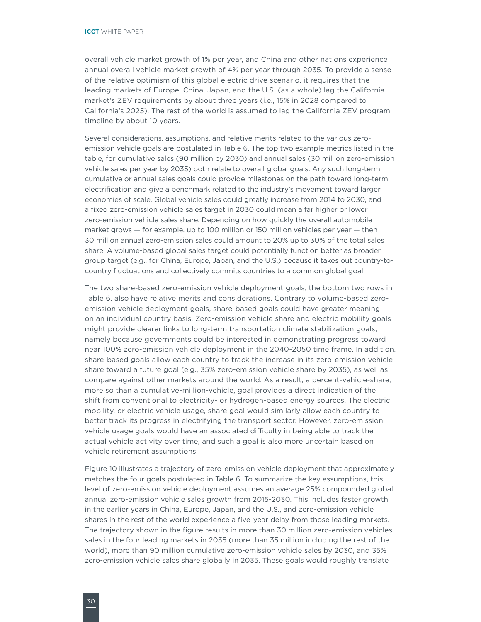overall vehicle market growth of 1% per year, and China and other nations experience annual overall vehicle market growth of 4% per year through 2035. To provide a sense of the relative optimism of this global electric drive scenario, it requires that the leading markets of Europe, China, Japan, and the U.S. (as a whole) lag the California market's ZEV requirements by about three years (i.e., 15% in 2028 compared to California's 2025). The rest of the world is assumed to lag the California ZEV program timeline by about 10 years.

Several considerations, assumptions, and relative merits related to the various zeroemission vehicle goals are postulated in Table 6. The top two example metrics listed in the table, for cumulative sales (90 million by 2030) and annual sales (30 million zero-emission vehicle sales per year by 2035) both relate to overall global goals. Any such long-term cumulative or annual sales goals could provide milestones on the path toward long-term electrification and give a benchmark related to the industry's movement toward larger economies of scale. Global vehicle sales could greatly increase from 2014 to 2030, and a fixed zero-emission vehicle sales target in 2030 could mean a far higher or lower zero-emission vehicle sales share. Depending on how quickly the overall automobile market grows — for example, up to 100 million or 150 million vehicles per year — then 30 million annual zero-emission sales could amount to 20% up to 30% of the total sales share. A volume-based global sales target could potentially function better as broader group target (e.g., for China, Europe, Japan, and the U.S.) because it takes out country-tocountry fluctuations and collectively commits countries to a common global goal.

The two share-based zero-emission vehicle deployment goals, the bottom two rows in Table 6, also have relative merits and considerations. Contrary to volume-based zeroemission vehicle deployment goals, share-based goals could have greater meaning on an individual country basis. Zero-emission vehicle share and electric mobility goals might provide clearer links to long-term transportation climate stabilization goals, namely because governments could be interested in demonstrating progress toward near 100% zero-emission vehicle deployment in the 2040-2050 time frame. In addition, share-based goals allow each country to track the increase in its zero-emission vehicle share toward a future goal (e.g., 35% zero-emission vehicle share by 2035), as well as compare against other markets around the world. As a result, a percent-vehicle-share, more so than a cumulative-million-vehicle, goal provides a direct indication of the shift from conventional to electricity- or hydrogen-based energy sources. The electric mobility, or electric vehicle usage, share goal would similarly allow each country to better track its progress in electrifying the transport sector. However, zero-emission vehicle usage goals would have an associated difficulty in being able to track the actual vehicle activity over time, and such a goal is also more uncertain based on vehicle retirement assumptions.

[Figure](#page-38-1) 10 illustrates a trajectory of zero-emission vehicle deployment that approximately matches the four goals postulated in Table 6. To summarize the key assumptions, this level of zero-emission vehicle deployment assumes an average 25% compounded global annual zero-emission vehicle sales growth from 2015-2030. This includes faster growth in the earlier years in China, Europe, Japan, and the U.S., and zero-emission vehicle shares in the rest of the world experience a five-year delay from those leading markets. The trajectory shown in the figure results in more than 30 million zero-emission vehicles sales in the four leading markets in 2035 (more than 35 million including the rest of the world), more than 90 million cumulative zero-emission vehicle sales by 2030, and 35% zero-emission vehicle sales share globally in 2035. These goals would roughly translate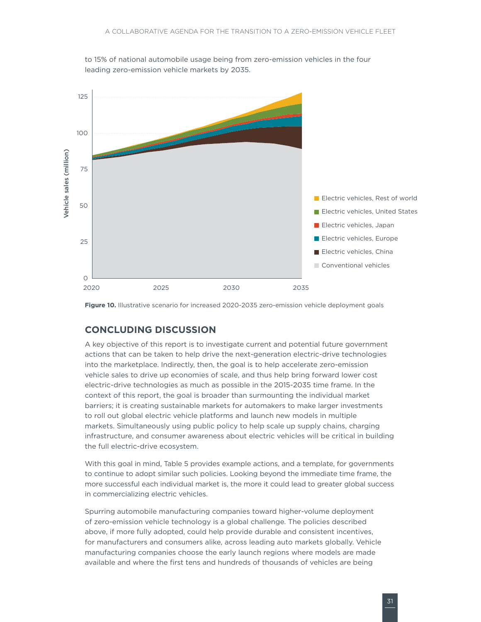<span id="page-38-0"></span>



<span id="page-38-1"></span>**Figure 10.** Illustrative scenario for increased 2020-2035 zero-emission vehicle deployment goals

### **Concluding discussion**

A key objective of this report is to investigate current and potential future government actions that can be taken to help drive the next-generation electric-drive technologies into the marketplace. Indirectly, then, the goal is to help accelerate zero-emission vehicle sales to drive up economies of scale, and thus help bring forward lower cost electric-drive technologies as much as possible in the 2015-2035 time frame. In the context of this report, the goal is broader than surmounting the individual market barriers; it is creating sustainable markets for automakers to make larger investments to roll out global electric vehicle platforms and launch new models in multiple markets. Simultaneously using public policy to help scale up supply chains, charging infrastructure, and consumer awareness about electric vehicles will be critical in building the full electric-drive ecosystem.

With this goal in mind, Table 5 provides example actions, and a template, for governments to continue to adopt similar such policies. Looking beyond the immediate time frame, the more successful each individual market is, the more it could lead to greater global success in commercializing electric vehicles.

Spurring automobile manufacturing companies toward higher-volume deployment of zero-emission vehicle technology is a global challenge. The policies described above, if more fully adopted, could help provide durable and consistent incentives, for manufacturers and consumers alike, across leading auto markets globally. Vehicle manufacturing companies choose the early launch regions where models are made available and where the first tens and hundreds of thousands of vehicles are being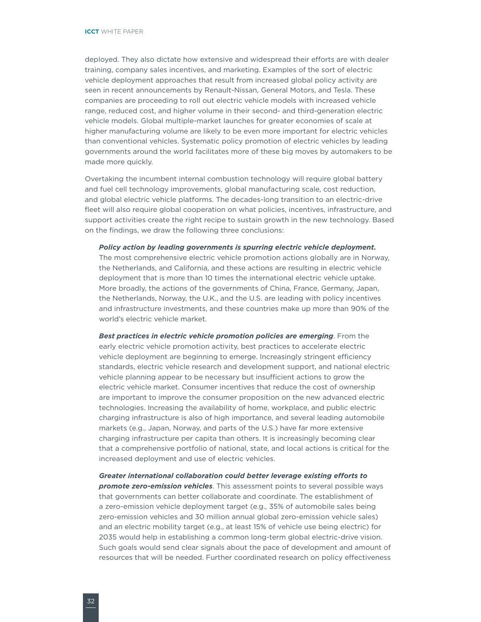deployed. They also dictate how extensive and widespread their efforts are with dealer training, company sales incentives, and marketing. Examples of the sort of electric vehicle deployment approaches that result from increased global policy activity are seen in recent announcements by Renault-Nissan, General Motors, and Tesla. These companies are proceeding to roll out electric vehicle models with increased vehicle range, reduced cost, and higher volume in their second- and third-generation electric vehicle models. Global multiple-market launches for greater economies of scale at higher manufacturing volume are likely to be even more important for electric vehicles than conventional vehicles. Systematic policy promotion of electric vehicles by leading governments around the world facilitates more of these big moves by automakers to be made more quickly.

Overtaking the incumbent internal combustion technology will require global battery and fuel cell technology improvements, global manufacturing scale, cost reduction, and global electric vehicle platforms. The decades-long transition to an electric-drive fleet will also require global cooperation on what policies, incentives, infrastructure, and support activities create the right recipe to sustain growth in the new technology. Based on the findings, we draw the following three conclusions:

*Policy action by leading governments is spurring electric vehicle deployment.*

The most comprehensive electric vehicle promotion actions globally are in Norway, the Netherlands, and California, and these actions are resulting in electric vehicle deployment that is more than 10 times the international electric vehicle uptake. More broadly, the actions of the governments of China, France, Germany, Japan, the Netherlands, Norway, the U.K., and the U.S. are leading with policy incentives and infrastructure investments, and these countries make up more than 90% of the world's electric vehicle market.

*Best practices in electric vehicle promotion policies are emerging*. From the early electric vehicle promotion activity, best practices to accelerate electric vehicle deployment are beginning to emerge. Increasingly stringent efficiency standards, electric vehicle research and development support, and national electric vehicle planning appear to be necessary but insufficient actions to grow the electric vehicle market. Consumer incentives that reduce the cost of ownership are important to improve the consumer proposition on the new advanced electric technologies. Increasing the availability of home, workplace, and public electric charging infrastructure is also of high importance, and several leading automobile markets (e.g., Japan, Norway, and parts of the U.S.) have far more extensive charging infrastructure per capita than others. It is increasingly becoming clear that a comprehensive portfolio of national, state, and local actions is critical for the increased deployment and use of electric vehicles.

*Greater international collaboration could better leverage existing efforts to promote zero-emission vehicles*. This assessment points to several possible ways that governments can better collaborate and coordinate. The establishment of a zero-emission vehicle deployment target (e.g., 35% of automobile sales being zero-emission vehicles and 30 million annual global zero-emission vehicle sales) and an electric mobility target (e.g., at least 15% of vehicle use being electric) for 2035 would help in establishing a common long-term global electric-drive vision. Such goals would send clear signals about the pace of development and amount of resources that will be needed. Further coordinated research on policy effectiveness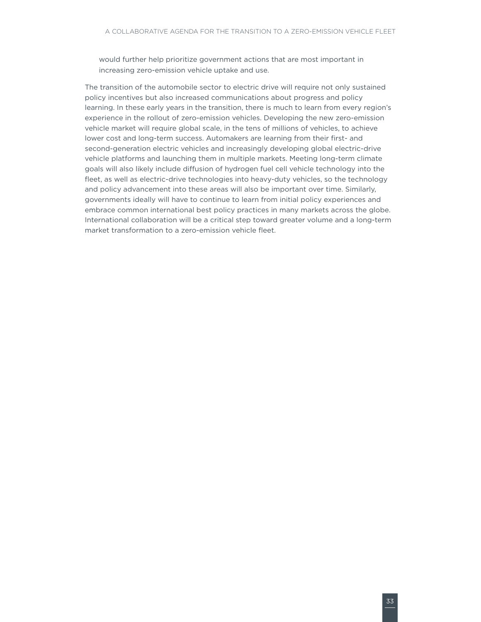would further help prioritize government actions that are most important in increasing zero-emission vehicle uptake and use.

The transition of the automobile sector to electric drive will require not only sustained policy incentives but also increased communications about progress and policy learning. In these early years in the transition, there is much to learn from every region's experience in the rollout of zero-emission vehicles. Developing the new zero-emission vehicle market will require global scale, in the tens of millions of vehicles, to achieve lower cost and long-term success. Automakers are learning from their first- and second-generation electric vehicles and increasingly developing global electric-drive vehicle platforms and launching them in multiple markets. Meeting long-term climate goals will also likely include diffusion of hydrogen fuel cell vehicle technology into the fleet, as well as electric-drive technologies into heavy-duty vehicles, so the technology and policy advancement into these areas will also be important over time. Similarly, governments ideally will have to continue to learn from initial policy experiences and embrace common international best policy practices in many markets across the globe. International collaboration will be a critical step toward greater volume and a long-term market transformation to a zero-emission vehicle fleet.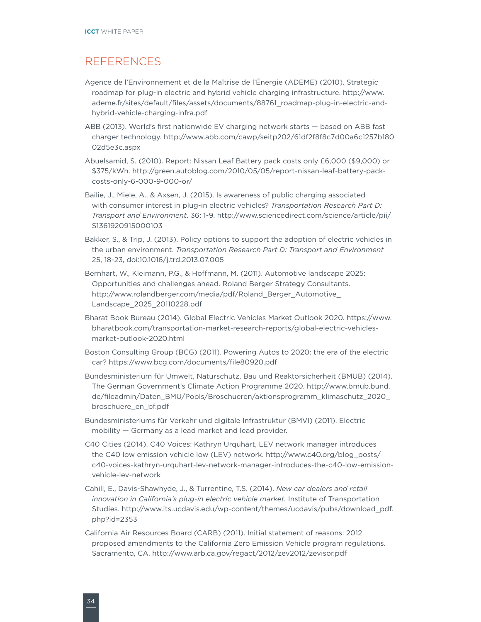# <span id="page-41-0"></span>**REFERENCES**

- Agence de l'Environnement et de la Maîtrise de l'Énergie (ADEME) (2010). Strategic roadmap for plug-in electric and hybrid vehicle charging infrastructure. [http://www.](http://www.ademe.fr/sites/default/files/assets/documents/88761_roadmap-plug-in-electric-and-hybrid-vehicle-charging-infra.pdf) [ademe.fr/sites/default/files/assets/documents/88761\\_roadmap-plug-in-electric-and](http://www.ademe.fr/sites/default/files/assets/documents/88761_roadmap-plug-in-electric-and-hybrid-vehicle-charging-infra.pdf)[hybrid-vehicle-charging-infra.pdf](http://www.ademe.fr/sites/default/files/assets/documents/88761_roadmap-plug-in-electric-and-hybrid-vehicle-charging-infra.pdf)
- ABB (2013). World's first nationwide EV charging network starts based on ABB fast charger technology. [http://www.abb.com/cawp/seitp202/61df2f8f8c7d00a6c1257b180](http://www.abb.com/cawp/seitp202/61df2f8f8c7d00a6c1257b18002d5e3c.aspx) [02d5e3c.aspx](http://www.abb.com/cawp/seitp202/61df2f8f8c7d00a6c1257b18002d5e3c.aspx)
- Abuelsamid, S. (2010). Report: Nissan Leaf Battery pack costs only £6,000 (\$9,000) or \$375/kWh. [http://green.autoblog.com/2010/05/05/report-nissan-leaf-battery-pack](http://green.autoblog.com/2010/05/05/report-nissan-leaf-battery-pack-costs-only-6-000-9-000-or/)[costs-only-6-000-9-000-or/](http://green.autoblog.com/2010/05/05/report-nissan-leaf-battery-pack-costs-only-6-000-9-000-or/)
- Bailie, J., Miele, A., & Axsen, J. (2015). Is awareness of public charging associated with consumer interest in plug-in electric vehicles? *Transportation Research Part D: Transport and Environment*. 36: 1-9. [http://www.sciencedirect.com/science/article/pii/](http://www.sciencedirect.com/science/article/pii/S1361920915000103) [S1361920915000103](http://www.sciencedirect.com/science/article/pii/S1361920915000103)
- Bakker, S., & Trip, J. (2013). Policy options to support the adoption of electric vehicles in the urban environment. *Transportation Research Part D: Transport and Environment*  25, 18-23, [doi:10.1016/j.trd.2013.07.005](http://dx.doi.org/10.1016/j.trd.2013.07.005)
- Bernhart, W., Kleimann, P.G., & Hoffmann, M. (2011). Automotive landscape 2025: Opportunities and challenges ahead. Roland Berger Strategy Consultants. [http://www.rolandberger.com/media/pdf/Roland\\_Berger\\_Automotive\\_](http://www.rolandberger.com/media/pdf/Roland_Berger_Automotive_Landscape_2025_20110228.pdf) [Landscape\\_2025\\_20110228.pdf](http://www.rolandberger.com/media/pdf/Roland_Berger_Automotive_Landscape_2025_20110228.pdf)
- Bharat Book Bureau (2014). Global Electric Vehicles Market Outlook 2020. [https://www.](https://www.bharatbook.com/transportation-market-research-reports/global-electric-vehicles-market-outlook-2020.html) [bharatbook.com/transportation-market-research-reports/global-electric-vehicles](https://www.bharatbook.com/transportation-market-research-reports/global-electric-vehicles-market-outlook-2020.html)[market-outlook-2020.html](https://www.bharatbook.com/transportation-market-research-reports/global-electric-vehicles-market-outlook-2020.html)
- Boston Consulting Group (BCG) (2011). Powering Autos to 2020: the era of the electric car? <https://www.bcg.com/documents/file80920.pdf>
- Bundesministerium für Umwelt, Naturschutz, Bau und Reaktorsicherheit (BMUB) (2014). The German Government's Climate Action Programme 2020. [http://www.bmub.bund.](http://www.bmub.bund.de/fileadmin/Daten_BMU/Pools/Broschueren/aktionsprogramm_klimaschutz_2020_broschuere_en_bf.pdf) [de/fileadmin/Daten\\_BMU/Pools/Broschueren/aktionsprogramm\\_klimaschutz\\_2020\\_](http://www.bmub.bund.de/fileadmin/Daten_BMU/Pools/Broschueren/aktionsprogramm_klimaschutz_2020_broschuere_en_bf.pdf) [broschuere\\_en\\_bf.pdf](http://www.bmub.bund.de/fileadmin/Daten_BMU/Pools/Broschueren/aktionsprogramm_klimaschutz_2020_broschuere_en_bf.pdf)
- Bundesministeriums für Verkehr und digitale Infrastruktur (BMVI) (2011). Electric mobility — Germany as a lead market and lead provider.
- C40 Cities (2014). C40 Voices: Kathryn Urquhart, LEV network manager introduces the C40 low emission vehicle low (LEV) network. [http://www.c40.org/blog\\_posts/](http://www.c40.org/blog_posts/c40-voices-kathryn-urquhart-lev-network-manager-introduces-the-c40-low-emission-vehicle-lev-network) [c40-voices-kathryn-urquhart-lev-network-manager-introduces-the-c40-low-emission](http://www.c40.org/blog_posts/c40-voices-kathryn-urquhart-lev-network-manager-introduces-the-c40-low-emission-vehicle-lev-network)[vehicle-lev-network](http://www.c40.org/blog_posts/c40-voices-kathryn-urquhart-lev-network-manager-introduces-the-c40-low-emission-vehicle-lev-network)
- Cahill, E., Davis-Shawhyde, J., & Turrentine, T.S. (2014). *New car dealers and retail innovation in California's plug-in electric vehicle market.* Institute of Transportation Studies. [http://www.its.ucdavis.edu/wp-content/themes/ucdavis/pubs/download\\_pdf.](http://www.its.ucdavis.edu/wp-content/themes/ucdavis/pubs/download_pdf.php?id=2353) [php?id=2353](http://www.its.ucdavis.edu/wp-content/themes/ucdavis/pubs/download_pdf.php?id=2353)
- California Air Resources Board (CARB) (2011). Initial statement of reasons: 2012 proposed amendments to the California Zero Emission Vehicle program regulations. Sacramento, CA. <http://www.arb.ca.gov/regact/2012/zev2012/zevisor.pdf>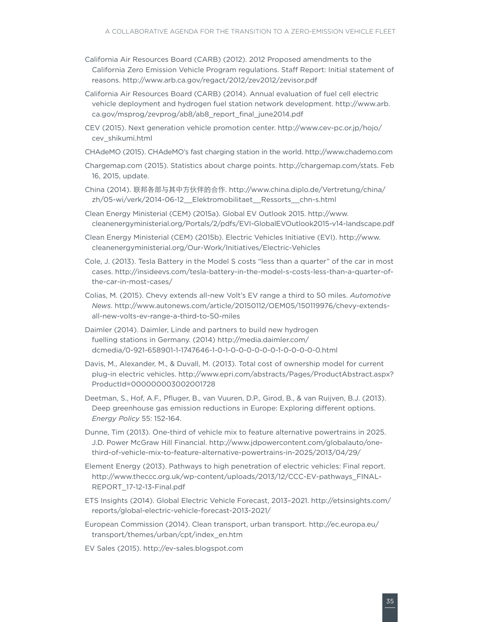- California Air Resources Board (CARB) (2012). 2012 Proposed amendments to the California Zero Emission Vehicle Program regulations. Staff Report: Initial statement of reasons.<http://www.arb.ca.gov/regact/2012/zev2012/zevisor.pdf>
- California Air Resources Board (CARB) (2014). Annual evaluation of fuel cell electric vehicle deployment and hydrogen fuel station network development. [http://www.arb.](http://www.arb.ca.gov/msprog/zevprog/ab8/ab8_report_final_june2014.pdf) [ca.gov/msprog/zevprog/ab8/ab8\\_report\\_final\\_june2014.pdf](http://www.arb.ca.gov/msprog/zevprog/ab8/ab8_report_final_june2014.pdf)
- CEV (2015). Next generation vehicle promotion center. [http://www.cev-pc.or.jp/hojo/](http://www.cev-pc.or.jp/hojo/cev_shikumi.html) [cev\\_shikumi.html](http://www.cev-pc.or.jp/hojo/cev_shikumi.html)
- CHAdeMO (2015). CHAdeMO's fast charging station in the world. <http://www.chademo.com>
- Chargemap.com (2015). Statistics about charge points. [http://chargemap.com/stats. Feb](http://chargemap.com/stats. Feb 16)  [16](http://chargemap.com/stats. Feb 16), 2015, update.
- China (2014). 联邦各部与其中方伙伴的合作. [http://www.china.diplo.de/Vertretung/china/](http://www.china.diplo.de/Vertretung/china/zh/05-wi/verk/2014-06-12__Elektromobilitaet__Ressorts__chn-s.html) [zh/05-wi/verk/2014-06-12\\_\\_Elektromobilitaet\\_\\_Ressorts\\_\\_chn-s.html](http://www.china.diplo.de/Vertretung/china/zh/05-wi/verk/2014-06-12__Elektromobilitaet__Ressorts__chn-s.html)
- Clean Energy Ministerial (CEM) (2015a). Global EV Outlook 2015. [http://www.](http://www.cleanenergyministerial.org/Portals/2/pdfs/EVI-GlobalEVOutlook2015-v14-landscape.pdf) [cleanenergyministerial.org/Portals/2/pdfs/EVI-GlobalEVOutlook2015-v14-landscape.pdf](http://www.cleanenergyministerial.org/Portals/2/pdfs/EVI-GlobalEVOutlook2015-v14-landscape.pdf)
- Clean Energy Ministerial (CEM) (2015b). Electric Vehicles Initiative (EVI). [http://www.](http://www.cleanenergyministerial.org/Our-Work/Initiatives/Electric-Vehicles) [cleanenergyministerial.org/Our-Work/Initiatives/Electric-Vehicles](http://www.cleanenergyministerial.org/Our-Work/Initiatives/Electric-Vehicles)
- Cole, J. (2013). Tesla Battery in the Model S costs "less than a quarter" of the car in most cases. [http://insideevs.com/tesla-battery-in-the-model-s-costs-less-than-a-quarter-of](http://insideevs.com/tesla-battery-in-the-model-s-costs-less-than-a-quarter-of-the-car-in-most-cases/)[the-car-in-most-cases/](http://insideevs.com/tesla-battery-in-the-model-s-costs-less-than-a-quarter-of-the-car-in-most-cases/)
- Colias, M. (2015). Chevy extends all-new Volt's EV range a third to 50 miles. *Automotive News*. [http://www.autonews.com/article/20150112/OEM05/150119976/chevy-extends](http://www.autonews.com/article/20150112/OEM05/150119976/chevy-extends-all-new-volts-ev-range-a-third-to-50-miles)[all-new-volts-ev-range-a-third-to-50-miles](http://www.autonews.com/article/20150112/OEM05/150119976/chevy-extends-all-new-volts-ev-range-a-third-to-50-miles)
- Daimler (2014). Daimler, Linde and partners to build new hydrogen fuelling stations in Germany. (2014) [http://media.daimler.com/](http://media.daimler.com/dcmedia/0-921-658901-1-1747646-1-0-1-0-0-0-0-0-0-1-0-0-0-0-0.html) [dcmedia/0-921-658901-1-1747646-1-0-1-0-0-0-0-0-0-1-0-0-0-0-0.html](http://media.daimler.com/dcmedia/0-921-658901-1-1747646-1-0-1-0-0-0-0-0-0-1-0-0-0-0-0.html)
- Davis, M., Alexander, M., & Duvall, M. (2013). Total cost of ownership model for current plug-in electric vehicles. [http://www.epri.com/abstracts/Pages/ProductAbstract.aspx?](http://www.epri.com/abstracts/Pages/ProductAbstract.aspx?ProductId=000000003002001728) [ProductId=000000003002001728](http://www.epri.com/abstracts/Pages/ProductAbstract.aspx?ProductId=000000003002001728)
- Deetman, S., Hof, A.F., Pfluger, B., van Vuuren, D.P., Girod, B., & van Ruijven, B.J. (2013). Deep greenhouse gas emission reductions in Europe: Exploring different options. *Energy Policy* 55: 152-164.
- Dunne, Tim (2013). One-third of vehicle mix to feature alternative powertrains in 2025. J.D. Power McGraw Hill Financial. [http://www.jdpowercontent.com/globalauto/one](http://www.jdpowercontent.com/globalauto/one-third-of-vehicle-mix-to-feature-alternative-powertrains-in-2025/2013/04/29/)[third-of-vehicle-mix-to-feature-alternative-powertrains-in-2025/2013/04/29/](http://www.jdpowercontent.com/globalauto/one-third-of-vehicle-mix-to-feature-alternative-powertrains-in-2025/2013/04/29/)
- Element Energy (2013). Pathways to high penetration of electric vehicles: Final report. [http://www.theccc.org.uk/wp-content/uploads/2013/12/CCC-EV-pathways\\_FINAL-](http://www.theccc.org.uk/wp-content/uploads/2013/12/CCC-EV-pathways_FINAL-REPORT_17-12-13-Final.pdf)[REPORT\\_17-12-13-Final.pdf](http://www.theccc.org.uk/wp-content/uploads/2013/12/CCC-EV-pathways_FINAL-REPORT_17-12-13-Final.pdf)
- ETS Insights (2014). Global Electric Vehicle Forecast, 2013–2021. [http://etsinsights.com/](http://etsinsights.com/reports/global-electric-vehicle-forecast-2013-2021/) [reports/global-electric-vehicle-forecast-2013-2021/](http://etsinsights.com/reports/global-electric-vehicle-forecast-2013-2021/)
- European Commission (2014). Clean transport, urban transport. [http://ec.europa.eu/](http://ec.europa.eu/transport/themes/urban/cpt/index_en.htm) [transport/themes/urban/cpt/index\\_en.htm](http://ec.europa.eu/transport/themes/urban/cpt/index_en.htm)
- EV Sales (2015). <http://ev-sales.blogspot.com>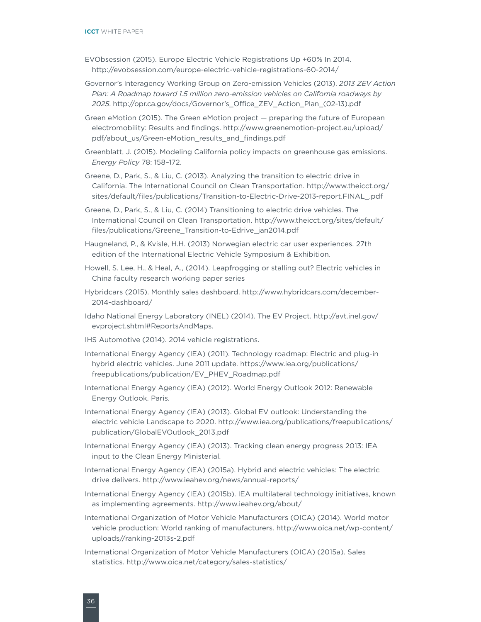- EVObsession (2015). Europe Electric Vehicle Registrations Up +60% In 2014. <http://evobsession.com/europe-electric-vehicle-registrations-60-2014/>
- Governor's Interagency Working Group on Zero-emission Vehicles (2013). *2013 ZEV Action Plan: A Roadmap toward 1.5 million zero-emission vehicles on California roadways by 2025*. [http://opr.ca.gov/docs/Governor's\\_Office\\_ZEV\\_Action\\_Plan\\_\(02-13\).pdf](http://opr.ca.gov/docs/Governor)
- Green eMotion (2015). The Green eMotion project preparing the future of European electromobility: Results and findings. [http://www.greenemotion-project.eu/upload/](http://www.greenemotion-project.eu/upload/pdf/about_us/Green-eMotion_results_and_findings.pdf) [pdf/about\\_us/Green-eMotion\\_results\\_and\\_findings.pdf](http://www.greenemotion-project.eu/upload/pdf/about_us/Green-eMotion_results_and_findings.pdf)
- Greenblatt, J. (2015). Modeling California policy impacts on greenhouse gas emissions. *Energy Policy* 78: 158–172.
- Greene, D., Park, S., & Liu, C. (2013). Analyzing the transition to electric drive in California. The International Council on Clean Transportation. [http://www.theicct.org/](http://www.theicct.org/sites/default/files/publications/Transition-to-Electric-Drive-2013-report.FINAL_.pdf) [sites/default/files/publications/Transition-to-Electric-Drive-2013-report.FINAL\\_.pdf](http://www.theicct.org/sites/default/files/publications/Transition-to-Electric-Drive-2013-report.FINAL_.pdf)
- Greene, D., Park, S., & Liu, C. (2014) Transitioning to electric drive vehicles. The International Council on Clean Transportation. [http://www.theicct.org/sites/default/](http://www.theicct.org/sites/default/files/publications/Greene_Transition-to-Edrive_jan2014.pdf) [files/publications/Greene\\_Transition-to-Edrive\\_jan2014.pdf](http://www.theicct.org/sites/default/files/publications/Greene_Transition-to-Edrive_jan2014.pdf)
- Haugneland, P., & Kvisle, H.H. (2013) Norwegian electric car user experiences. 27th edition of the International Electric Vehicle Symposium & Exhibition.
- Howell, S. Lee, H., & Heal, A., (2014). Leapfrogging or stalling out? Electric vehicles in China faculty research working paper series
- Hybridcars (2015). Monthly sales dashboard. [http://www.hybridcars.com/december-](http://www.hybridcars.com/december-2014-dashboard/)[2014-dashboard/](http://www.hybridcars.com/december-2014-dashboard/)
- Idaho National Energy Laboratory (INEL) (2014). The EV Project. [http://avt.inel.gov/](http://avt.inel.gov/evproject.shtml#ReportsAndMaps) [evproject.shtml#ReportsAndMaps.](http://avt.inel.gov/evproject.shtml#ReportsAndMaps)
- IHS Automotive (2014). 2014 vehicle registrations.
- International Energy Agency (IEA) (2011). Technology roadmap: Electric and plug-in hybrid electric vehicles. June 2011 update. [https://www.iea.org/publications/](https://www.iea.org/publications/freepublications/publication/EV_PHEV_Roadmap.pdf) [freepublications/publication/EV\\_PHEV\\_Roadmap.pdf](https://www.iea.org/publications/freepublications/publication/EV_PHEV_Roadmap.pdf)
- International Energy Agency (IEA) (2012). World Energy Outlook 2012: Renewable Energy Outlook. Paris.
- International Energy Agency (IEA) (2013). Global EV outlook: Understanding the electric vehicle Landscape to 2020. [http://www.iea.org/publications/freepublications/](http://www.iea.org/publications/freepublications/publication/GlobalEVOutlook_2013.pdf) [publication/GlobalEVOutlook\\_2013.pdf](http://www.iea.org/publications/freepublications/publication/GlobalEVOutlook_2013.pdf)
- International Energy Agency (IEA) (2013). Tracking clean energy progress 2013: IEA input to the Clean Energy Ministerial.
- International Energy Agency (IEA) (2015a). Hybrid and electric vehicles: The electric drive delivers.<http://www.ieahev.org/news/annual-reports/>
- International Energy Agency (IEA) (2015b). IEA multilateral technology initiatives, known as implementing agreements.<http://www.ieahev.org/about/>
- International Organization of Motor Vehicle Manufacturers (OICA) (2014). World motor vehicle production: World ranking of manufacturers. [http://www.oica.net/wp-content/](http://www.oica.net/wp-content/uploads//ranking-2013s-2.pdf) [uploads//ranking-2013s-2.pdf](http://www.oica.net/wp-content/uploads//ranking-2013s-2.pdf)
- International Organization of Motor Vehicle Manufacturers (OICA) (2015a). Sales statistics.<http://www.oica.net/category/sales-statistics/>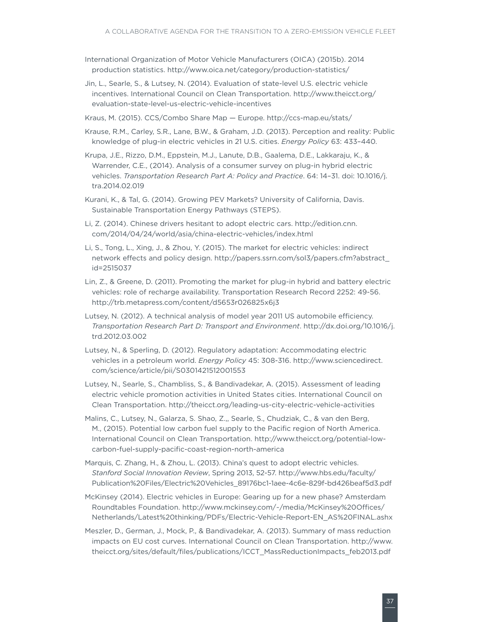- International Organization of Motor Vehicle Manufacturers (OICA) (2015b). 2014 production statistics.<http://www.oica.net/category/production-statistics/>
- Jin, L., Searle, S., & Lutsey, N. (2014). Evaluation of state-level U.S. electric vehicle incentives. International Council on Clean Transportation. [http://www.theicct.org/](http://www.theicct.org/evaluation-state-level-us-electric-vehicle-incentives) [evaluation-state-level-us-electric-vehicle-incentives](http://www.theicct.org/evaluation-state-level-us-electric-vehicle-incentives)
- Kraus, M. (2015). CCS/Combo Share Map Europe. <http://ccs-map.eu/stats/>
- Krause, R.M., Carley, S.R., Lane, B.W., & Graham, J.D. (2013). Perception and reality: Public knowledge of plug-in electric vehicles in 21 U.S. cities. *Energy Policy* 63: 433–440.
- Krupa, J.E., Rizzo, D.M., Eppstein, M.J., Lanute, D.B., Gaalema, D.E., Lakkaraju, K., & Warrender, C.E., (2014). Analysis of a consumer survey on plug-in hybrid electric vehicles. *Transportation Research Part A: Policy and Practice*. 64: 14–31. doi: 10.1016/j. tra.2014.02.019
- Kurani, K., & Tal, G. (2014). Growing PEV Markets? University of California, Davis. Sustainable Transportation Energy Pathways (STEPS).
- Li, Z. (2014). Chinese drivers hesitant to adopt electric cars. [http://edition.cnn.](http://edition.cnn.com/2014/04/24/world/asia/china-electric-vehicles/index.html) [com/2014/04/24/world/asia/china-electric-vehicles/index.html](http://edition.cnn.com/2014/04/24/world/asia/china-electric-vehicles/index.html)
- Li, S., Tong, L., Xing, J., & Zhou, Y. (2015). The market for electric vehicles: indirect network effects and policy design. [http://papers.ssrn.com/sol3/papers.cfm?abstract\\_](http://papers.ssrn.com/sol3/papers.cfm?abstract_id=2515037) [id=2515037](http://papers.ssrn.com/sol3/papers.cfm?abstract_id=2515037)
- Lin, Z., & Greene, D. (2011). Promoting the market for plug-in hybrid and battery electric vehicles: role of recharge availability. Transportation Research Record 2252: 49-56. <http://trb.metapress.com/content/d5653r026825x6j3>
- Lutsey, N. (2012). A technical analysis of model year 2011 US automobile efficiency. *Transportation Research Part D: Transport and Environment*. [http://dx.doi.org/10.1016/j.](http://dx.doi.org/10.1016/j.trd.2012.03.002) [trd.2012.03.002](http://dx.doi.org/10.1016/j.trd.2012.03.002)
- Lutsey, N., & Sperling, D. (2012). Regulatory adaptation: Accommodating electric vehicles in a petroleum world. *Energy Policy* 45: 308-316. [http://www.sciencedirect.](http://www.sciencedirect.com/science/article/pii/S0301421512001553) [com/science/article/pii/S0301421512001553](http://www.sciencedirect.com/science/article/pii/S0301421512001553)
- Lutsey, N., Searle, S., Chambliss, S., & Bandivadekar, A. (2015). Assessment of leading electric vehicle promotion activities in United States cities. International Council on Clean Transportation. <http://theicct.org/leading-us-city-electric-vehicle-activities>
- Malins, C., Lutsey, N., Galarza, S. Shao, Z.,, Searle, S., Chudziak, C., & van den Berg, M., (2015). Potential low carbon fuel supply to the Pacific region of North America. International Council on Clean Transportation. [http://www.theicct.org/potential-low](http://www.theicct.org/potential-low-carbon-fuel-supply-pacific-coast-region-north-america)[carbon-fuel-supply-pacific-coast-region-north-america](http://www.theicct.org/potential-low-carbon-fuel-supply-pacific-coast-region-north-america)
- Marquis, C. Zhang, H., & Zhou, L. (2013). China's quest to adopt electric vehicles. *Stanford Social Innovation Review*, Spring 2013, 52-57. [http://www.hbs.edu/faculty/](http://www.hbs.edu/faculty/Publication%20Files/Electric%20Vehicles_89176bc1-1aee-4c6e-829f-bd426beaf5d3.pdf) [Publication%20Files/Electric%20Vehicles\\_89176bc1-1aee-4c6e-829f-bd426beaf5d3.pdf](http://www.hbs.edu/faculty/Publication%20Files/Electric%20Vehicles_89176bc1-1aee-4c6e-829f-bd426beaf5d3.pdf)
- McKinsey (2014). Electric vehicles in Europe: Gearing up for a new phase? Amsterdam Roundtables Foundation. [http://www.mckinsey.com/~/media/McKinsey%20Offices/](http://www.mckinsey.com/~/media/McKinsey%20Offices/Netherlands/Latest%20thinking/PDFs/Electric-Vehicle-Report-EN_AS%20FINAL.ashx) [Netherlands/Latest%20thinking/PDFs/Electric-Vehicle-Report-EN\\_AS%20FINAL.ashx](http://www.mckinsey.com/~/media/McKinsey%20Offices/Netherlands/Latest%20thinking/PDFs/Electric-Vehicle-Report-EN_AS%20FINAL.ashx)
- Meszler, D., German, J., Mock, P., & Bandivadekar, A. (2013). Summary of mass reduction impacts on EU cost curves. International Council on Clean Transportation. [http://www.](http://www.theicct.org/sites/default/files/publications/ICCT_MassReductionImpacts_feb2013.pdf) [theicct.org/sites/default/files/publications/ICCT\\_MassReductionImpacts\\_feb2013.pdf](http://www.theicct.org/sites/default/files/publications/ICCT_MassReductionImpacts_feb2013.pdf)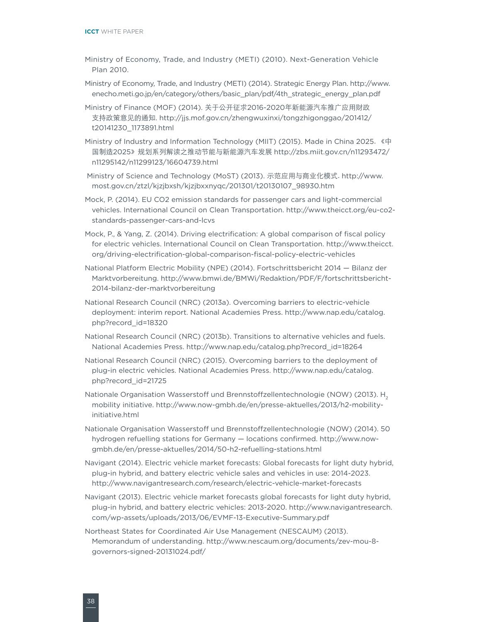- Ministry of Economy, Trade, and Industry (METI) (2010). Next-Generation Vehicle Plan 2010.
- Ministry of Economy, Trade, and Industry (METI) (2014). Strategic Energy Plan. [http://www.](http://www.enecho.meti.go.jp/en/category/others/basic_plan/pdf/4th_strategic_energy_plan.pdf) [enecho.meti.go.jp/en/category/others/basic\\_plan/pdf/4th\\_strategic\\_energy\\_plan.pdf](http://www.enecho.meti.go.jp/en/category/others/basic_plan/pdf/4th_strategic_energy_plan.pdf)
- Ministry of Finance (MOF) (2014). 关于公开征求2016-2020年新能源汽车推广应用财政 支持政策意见的通知. [http://jjs.mof.gov.cn/zhengwuxinxi/tongzhigonggao/201412/](http://jjs.mof.gov.cn/zhengwuxinxi/tongzhigonggao/201412/t20141230_1173891.html) [t20141230\\_1173891.html](http://jjs.mof.gov.cn/zhengwuxinxi/tongzhigonggao/201412/t20141230_1173891.html)
- Ministry of Industry and Information Technology (MIIT) (2015). Made in China 2025. 《中 国制造2025》规划系列解读之推动节能与新能源汽车发展 [http://zbs.miit.gov.cn/n11293472/](http://zbs.miit.gov.cn/n11293472/n11295142/n11299123/16604739.html) [n11295142/n11299123/16604739.html](http://zbs.miit.gov.cn/n11293472/n11295142/n11299123/16604739.html)

 Ministry of Science and Technology (MoST) (2013). 示范应用与商业化模式. [http://www.](http://www.most.gov.cn/ztzl/kjzjbxsh/kjzjbxxnyqc/201301/t20130107_98930.htm) [most.gov.cn/ztzl/kjzjbxsh/kjzjbxxnyqc/201301/t20130107\\_98930.htm](http://www.most.gov.cn/ztzl/kjzjbxsh/kjzjbxxnyqc/201301/t20130107_98930.htm)

- Mock, P. (2014). EU CO2 emission standards for passenger cars and light-commercial vehicles. International Council on Clean Transportation. [http://www.theicct.org/eu-co2](http://www.theicct.org/eu-co2-standards-passenger-cars-and-lcvs) [standards-passenger-cars-and-lcvs](http://www.theicct.org/eu-co2-standards-passenger-cars-and-lcvs)
- Mock, P., & Yang, Z. (2014). Driving electrification: A global comparison of fiscal policy for electric vehicles. International Council on Clean Transportation. [http://www.theicct.](http://www.theicct.org/driving-electrification-global-comparison-fiscal-policy-electric-vehicles) [org/driving-electrification-global-comparison-fiscal-policy-electric-vehicles](http://www.theicct.org/driving-electrification-global-comparison-fiscal-policy-electric-vehicles)
- National Platform Electric Mobility (NPE) (2014). Fortschrittsbericht 2014 Bilanz der Marktvorbereitung. [http://www.bmwi.de/BMWi/Redaktion/PDF/F/fortschrittsbericht-](http://www.bmwi.de/BMWi/Redaktion/PDF/F/fortschrittsbericht-2014-bilanz-der-marktvorbereitung)[2014-bilanz-der-marktvorbereitung](http://www.bmwi.de/BMWi/Redaktion/PDF/F/fortschrittsbericht-2014-bilanz-der-marktvorbereitung)
- National Research Council (NRC) (2013a). Overcoming barriers to electric-vehicle deployment: interim report. National Academies Press. [http://www.nap.edu/catalog.](http://www.nap.edu/catalog.php?record_id=18320) [php?record\\_id=18320](http://www.nap.edu/catalog.php?record_id=18320)
- National Research Council (NRC) (2013b). Transitions to alternative vehicles and fuels. National Academies Press. [http://www.nap.edu/catalog.php?record\\_id=18264](http://www.nap.edu/catalog.php?record_id=18264)
- National Research Council (NRC) (2015). Overcoming barriers to the deployment of plug-in electric vehicles. National Academies Press. [http://www.nap.edu/catalog.](http://www.nap.edu/catalog.php?record_id=21725) [php?record\\_id=21725](http://www.nap.edu/catalog.php?record_id=21725)
- Nationale Organisation Wasserstoff und Brennstoffzellentechnologie (NOW) (2013). H<sub>2</sub> mobility initiative. [http://www.now-gmbh.de/en/presse-aktuelles/2013/h2-mobility](http://www.now-gmbh.de/en/presse-aktuelles/2013/h2-mobility-initiative.html)[initiative.html](http://www.now-gmbh.de/en/presse-aktuelles/2013/h2-mobility-initiative.html)
- Nationale Organisation Wasserstoff und Brennstoffzellentechnologie (NOW) (2014). 50 hydrogen refuelling stations for Germany — locations confirmed. [http://www.now](http://www.now-gmbh.de/en/presse-aktuelles/2014/50-h2-refuelling-stations.html)[gmbh.de/en/presse-aktuelles/2014/50-h2-refuelling-stations.html](http://www.now-gmbh.de/en/presse-aktuelles/2014/50-h2-refuelling-stations.html)
- Navigant (2014). Electric vehicle market forecasts: Global forecasts for light duty hybrid, plug-in hybrid, and battery electric vehicle sales and vehicles in use: 2014-2023. <http://www.navigantresearch.com/research/electric-vehicle-market-forecasts>
- Navigant (2013). Electric vehicle market forecasts global forecasts for light duty hybrid, plug-in hybrid, and battery electric vehicles: 2013-2020. [http://www.navigantresearch.](http://www.navigantresearch.com/wp-assets/uploads/2013/06/EVMF-13-Executive-Summary.pdf) [com/wp-assets/uploads/2013/06/EVMF-13-Executive-Summary.pdf](http://www.navigantresearch.com/wp-assets/uploads/2013/06/EVMF-13-Executive-Summary.pdf)
- Northeast States for Coordinated Air Use Management (NESCAUM) (2013). Memorandum of understanding. [http://www.nescaum.org/documents/zev-mou-8](http://www.nescaum.org/documents/zev-mou-8-governors-signed-20131024.pdf/) [governors-signed-20131024.pdf/](http://www.nescaum.org/documents/zev-mou-8-governors-signed-20131024.pdf/)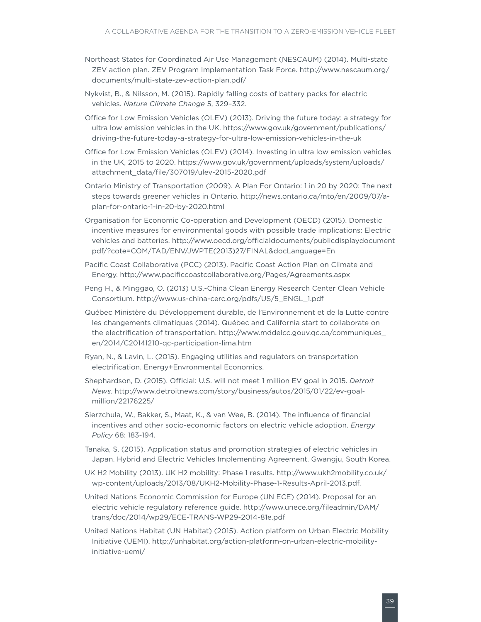- Northeast States for Coordinated Air Use Management (NESCAUM) (2014). Multi-state ZEV action plan. ZEV Program Implementation Task Force. [http://www.nescaum.org/](http://www.nescaum.org/documents/multi-state-zev-action-plan.pdf/) [documents/multi-state-zev-action-plan.pdf/](http://www.nescaum.org/documents/multi-state-zev-action-plan.pdf/)
- Nykvist, B., & Nilsson, M. (2015). Rapidly falling costs of battery packs for electric vehicles. *Nature Climate Change* 5, 329–332.
- Office for Low Emission Vehicles (OLEV) (2013). Driving the future today: a strategy for ultra low emission vehicles in the UK. [https://www.gov.uk/government/publications/](https://www.gov.uk/government/publications/driving-the-future-today-a-strategy-for-ultra-low-emission-vehicles-in-the-uk) [driving-the-future-today-a-strategy-for-ultra-low-emission-vehicles-in-the-uk](https://www.gov.uk/government/publications/driving-the-future-today-a-strategy-for-ultra-low-emission-vehicles-in-the-uk)
- Office for Low Emission Vehicles (OLEV) (2014). Investing in ultra low emission vehicles in the UK, 2015 to 2020. [https://www.gov.uk/government/uploads/system/uploads/](https://www.gov.uk/government/uploads/system/uploads/attachment_data/file/307019/ulev-2015-2020.pdf) [attachment\\_data/file/307019/ulev-2015-2020.pdf](https://www.gov.uk/government/uploads/system/uploads/attachment_data/file/307019/ulev-2015-2020.pdf)
- Ontario Ministry of Transportation (2009). A Plan For Ontario: 1 in 20 by 2020: The next steps towards greener vehicles in Ontario. [http://news.ontario.ca/mto/en/2009/07/a](http://news.ontario.ca/mto/en/2009/07/a-plan-for-ontario-1-in-20-by-2020.html)[plan-for-ontario-1-in-20-by-2020.html](http://news.ontario.ca/mto/en/2009/07/a-plan-for-ontario-1-in-20-by-2020.html)
- Organisation for Economic Co-operation and Development (OECD) (2015). Domestic incentive measures for environmental goods with possible trade implications: Electric vehicles and batteries. [http://www.oecd.org/officialdocuments/publicdisplaydocument](http://www.oecd.org/officialdocuments/publicdisplaydocumentpdf/?cote=COM/TAD/ENV/JWPTE(2013)27/FINAL&docLanguage=En) [pdf/?cote=COM/TAD/ENV/JWPTE\(2013\)27/FINAL&docLanguage=En](http://www.oecd.org/officialdocuments/publicdisplaydocumentpdf/?cote=COM/TAD/ENV/JWPTE(2013)27/FINAL&docLanguage=En)
- Pacific Coast Collaborative (PCC) (2013). Pacific Coast Action Plan on Climate and Energy. <http://www.pacificcoastcollaborative.org/Pages/Agreements.aspx>
- Peng H., & Minggao, O. (2013) U.S.-China Clean Energy Research Center Clean Vehicle Consortium. [http://www.us-china-cerc.org/pdfs/US/5\\_ENGL\\_1.pdf](http://www.us-china-cerc.org/pdfs/US/5_ENGL_1.pdf)
- Québec Ministère du Développement durable, de l'Environnement et de la Lutte contre les changements climatiques (2014). Québec and California start to collaborate on the electrification of transportation. [http://www.mddelcc.gouv.qc.ca/communiques\\_](http://www.mddelcc.gouv.qc.ca/communiques_en/2014/C20141210-qc-participation-lima.htm) [en/2014/C20141210-qc-participation-lima.htm](http://www.mddelcc.gouv.qc.ca/communiques_en/2014/C20141210-qc-participation-lima.htm)
- Ryan, N., & Lavin, L. (2015). Engaging utilities and regulators on transportation electrification. Energy+Envronmental Economics.
- Shephardson, D. (2015). Official: U.S. will not meet 1 million EV goal in 2015. *Detroit News*. [http://www.detroitnews.com/story/business/autos/2015/01/22/ev-goal](http://www.detroitnews.com/story/business/autos/2015/01/22/ev-goal-million/22176225/)[million/22176225/](http://www.detroitnews.com/story/business/autos/2015/01/22/ev-goal-million/22176225/)
- Sierzchula, W., Bakker, S., Maat, K., & van Wee, B. (2014). The influence of financial incentives and other socio-economic factors on electric vehicle adoption. *Energy Policy* 68: 183-194.
- Tanaka, S. (2015). Application status and promotion strategies of electric vehicles in Japan. Hybrid and Electric Vehicles Implementing Agreement. Gwangju, South Korea.
- UK H2 Mobility (2013). UK H2 mobility: Phase 1 results. [http://www.ukh2mobility.co.uk/](http://www.ukh2mobility.co.uk/wp-content/uploads/2013/08/UKH2-Mobility-Phase-1-Results-April-2013.pdf) [wp-content/uploads/2013/08/UKH2-Mobility-Phase-1-Results-April-2013.pdf.](http://www.ukh2mobility.co.uk/wp-content/uploads/2013/08/UKH2-Mobility-Phase-1-Results-April-2013.pdf)
- United Nations Economic Commission for Europe (UN ECE) (2014). Proposal for an electric vehicle regulatory reference guide. [http://www.unece.org/fileadmin/DAM/](http://www.unece.org/fileadmin/DAM/trans/doc/2014/wp29/ECE-TRANS-WP29-2014-81e.pdf) [trans/doc/2014/wp29/ECE-TRANS-WP29-2014-81e.pdf](http://www.unece.org/fileadmin/DAM/trans/doc/2014/wp29/ECE-TRANS-WP29-2014-81e.pdf)
- United Nations Habitat (UN Habitat) (2015). Action platform on Urban Electric Mobility Initiative (UEMI). [http://unhabitat.org/action-platform-on-urban-electric-mobility](http://unhabitat.org/action-platform-on-urban-electric-mobility-initiative-uemi/)[initiative-uemi/](http://unhabitat.org/action-platform-on-urban-electric-mobility-initiative-uemi/)